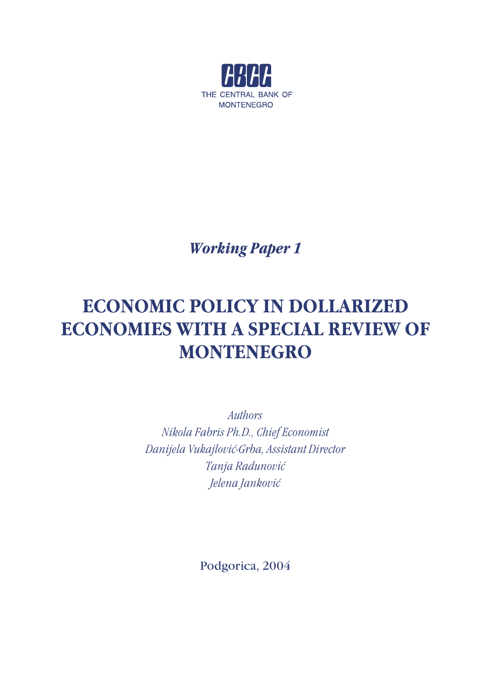

*Working Paper 1*

# **ECONOMIC POLICY IN DOLLARIZED ECONOMIES WITH A SPECIAL REVIEW OF MONTENEGRO**

*Authors Nikola Fabris Ph.D., Chief Economist Danijela Vukajlović-Grba, Assistant Director Tanja Radunović Jelena Janković*

Podgorica, 2004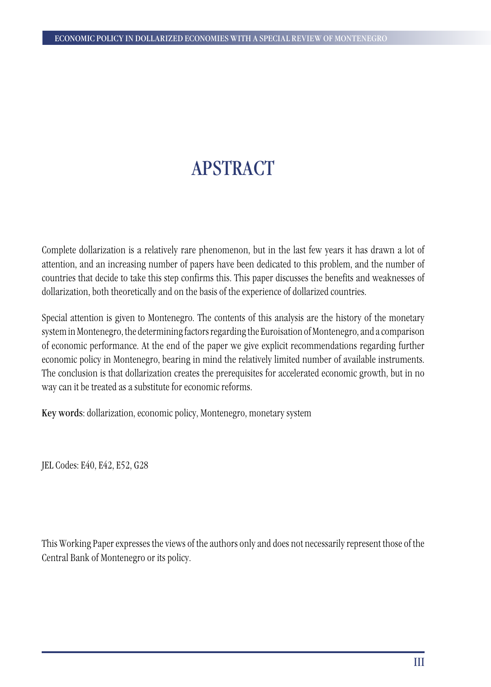# APSTRACT

Complete dollarization is a relatively rare phenomenon, but in the last few years it has drawn a lot of attention, and an increasing number of papers have been dedicated to this problem, and the number of countries that decide to take this step confirms this. This paper discusses the benefits and weaknesses of dollarization, both theoretically and on the basis of the experience of dollarized countries.

Special attention is given to Montenegro. The contents of this analysis are the history of the monetary system in Montenegro, the determining factors regarding the Euroisation of Montenegro, and a comparison of economic performance. At the end of the paper we give explicit recommendations regarding further economic policy in Montenegro, bearing in mind the relatively limited number of available instruments. The conclusion is that dollarization creates the prerequisites for accelerated economic growth, but in no way can it be treated as a substitute for economic reforms.

Key words: dollarization, economic policy, Montenegro, monetary system

JEL Codes: E40, E42, E52, G28

This Working Paper expresses the views of the authors only and does not necessarily represent those of the Central Bank of Montenegro or its policy.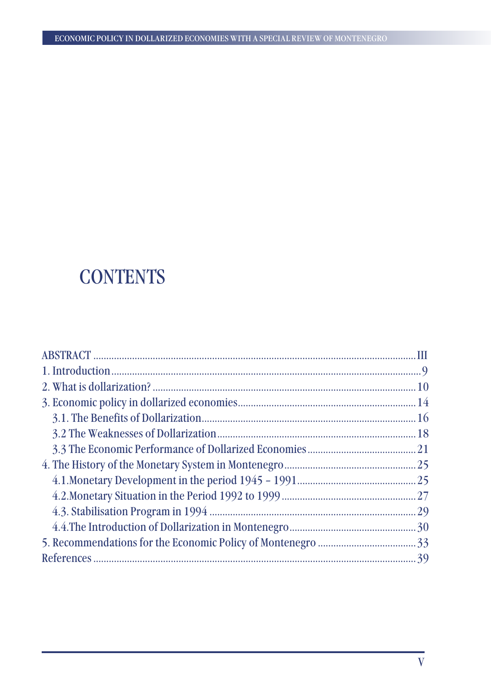# **CONTENTS**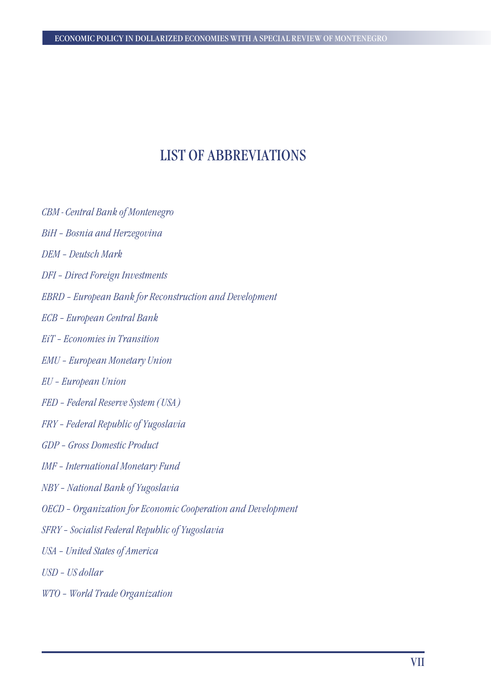## LIST OF ABBREVIATIONS

- *CBM Central Bank of Montenegro*
- *BiH Bosnia and Herzegovina*
- *DEM Deutsch Mark*
- *DFI Direct Foreign Investments*
- *EBRD European Bank for Reconstruction and Development*
- *ECB European Central Bank*
- *EiT Economies in Transition*
- *EMU European Monetary Union*
- *EU European Union*
- *FED Federal Reserve System (USA)*
- *FRY Federal Republic of Yugoslavia*
- *GDP Gross Domestic Product*
- *IMF International Monetary Fund*
- *NBY National Bank of Yugoslavia*
- *OECD Organization for Economic Cooperation and Development*
- *SFRY Socialist Federal Republic of Yugoslavia*
- *USA United States of America*
- *USD US dollar*
- *WTO World Trade Organization*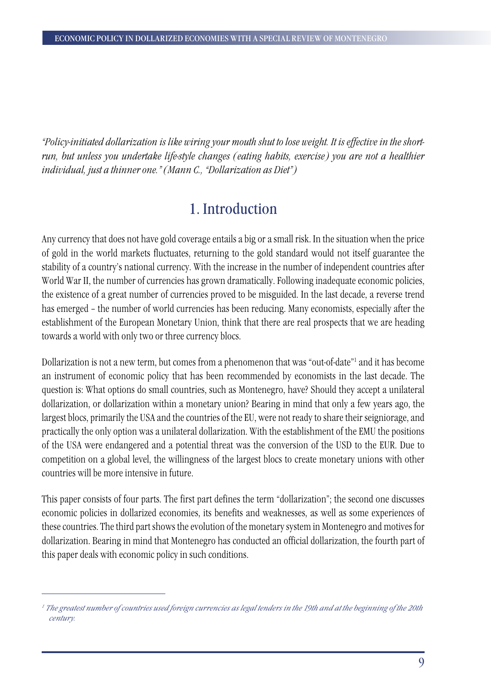*"Policy-initiated dollarization is like wiring your mouth shut to lose weight. It is effective in the shortrun, but unless you undertake life-style changes (eating habits, exercise) you are not a healthier individual, just a thinner one." (Mann C., "Dollarization as Diet")*

## 1. Introduction

Any currency that does not have gold coverage entails a big or a small risk. In the situation when the price of gold in the world markets fluctuates, returning to the gold standard would not itself guarantee the stability of a country's national currency. With the increase in the number of independent countries after World War II, the number of currencies has grown dramatically. Following inadequate economic policies, the existence of a great number of currencies proved to be misguided. In the last decade, a reverse trend has emerged – the number of world currencies has been reducing. Many economists, especially after the establishment of the European Monetary Union, think that there are real prospects that we are heading towards a world with only two or three currency blocs.

Dollarization is not a new term, but comes from a phenomenon that was "out-of-date"1 and it has become an instrument of economic policy that has been recommended by economists in the last decade. The question is: What options do small countries, such as Montenegro, have? Should they accept a unilateral dollarization, or dollarization within a monetary union? Bearing in mind that only a few years ago, the largest blocs, primarily the USA and the countries of the EU, were not ready to share their seigniorage, and practically the only option was a unilateral dollarization. With the establishment of the EMU the positions of the USA were endangered and a potential threat was the conversion of the USD to the EUR. Due to competition on a global level, the willingness of the largest blocs to create monetary unions with other countries will be more intensive in future.

This paper consists of four parts. The first part defines the term "dollarization"; the second one discusses economic policies in dollarized economies, its benefits and weaknesses, as well as some experiences of these countries. The third part shows the evolution of the monetary system in Montenegro and motives for dollarization. Bearing in mind that Montenegro has conducted an official dollarization, the fourth part of this paper deals with economic policy in such conditions.

*<sup>1</sup> The greatest number of countries used foreign currencies as legal tenders in the 19th and at the beginning of the 20th century.*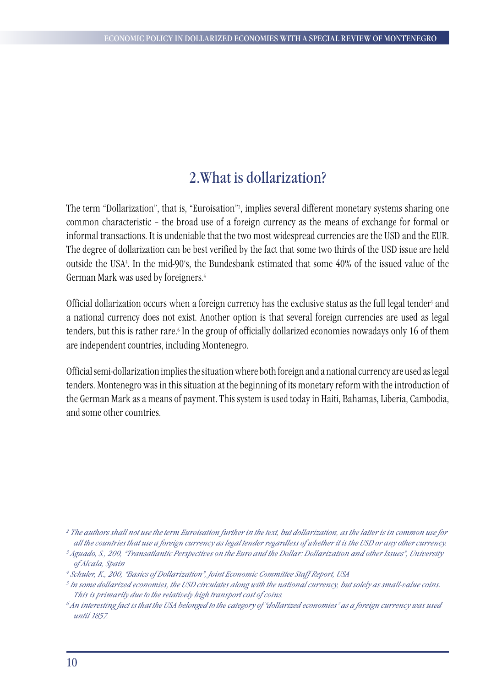## 2.What is dollarization?

The term "Dollarization", that is, "Euroisation"2 , implies several different monetary systems sharing one common characteristic – the broad use of a foreign currency as the means of exchange for formal or informal transactions. It is undeniable that the two most widespread currencies are the USD and the EUR. The degree of dollarization can be best verified by the fact that some two thirds of the USD issue are held outside the USA3 . In the mid-90's, the Bundesbank estimated that some 40% of the issued value of the German Mark was used by foreigners.4

Official dollarization occurs when a foreign currency has the exclusive status as the full legal tender<sup>s</sup> and a national currency does not exist. Another option is that several foreign currencies are used as legal tenders, but this is rather rare.6 In the group of officially dollarized economies nowadays only 16 of them are independent countries, including Montenegro.

Official semi-dollarization implies the situation where both foreign and a national currency are used as legal tenders. Montenegro was in this situation at the beginning of its monetary reform with the introduction of the German Mark as a means of payment. This system is used today in Haiti, Bahamas, Liberia, Cambodia, and some other countries.

*<sup>2</sup> The authors shall not use the term Euroisation further in the text, but dollarization, as the latter is in common use for all the countries that use a foreign currency as legal tender regardless of whether it is the USD or any other currency.* 

*<sup>3</sup> Aguado, S., 200, "Transatlantic Perspectives on the Euro and the Dollar: Dollarization and other Issues", University of Alcala, Spain*

*<sup>4</sup> Schuler, K., 200, "Basics of Dollarization", Joint Economic Committee Staff Report, USA*

*<sup>5</sup> In some dollarized economies, the USD circulates along with the national currency, but solely as small-value coins. This is primarily due to the relatively high transport cost of coins.* 

*<sup>6</sup> An interesting fact is that the USA belonged to the category of "dollarized economies" as a foreign currency was used until 1857.*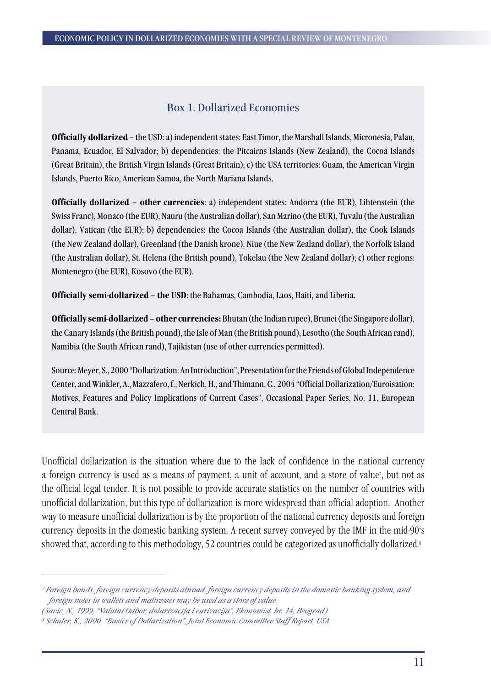## Box 1. Dollarized Economies

**Officially dollarized** – the USD: a) independent states: East Timor, the Marshall Islands, Micronesia, Palau, Panama, Ecuador, El Salvador; b) dependencies: the Pitcairns Islands (New Zealand), the Cocoa Islands (Great Britain), the British Virgin Islands (Great Britain); c) the USA territories: Guam, the American Virgin Islands, Puerto Rico, American Samoa, the North Mariana Islands.

**Officially dollarized – other currencies**: a) independent states: Andorra (the EUR), Lihtenstein (the Swiss Franc), Monaco (the EUR), Nauru (the Australian dollar), San Marino (the EUR), Tuvalu (the Australian dollar), Vatican (the EUR); b) dependencies: the Cocoa Islands (the Australian dollar), the Cook Islands (the New Zealand dollar), Greenland (the Danish krone), Niue (the New Zealand dollar), the Norfolk Island (the Australian dollar), St. Helena (the British pound), Tokelau (the New Zealand dollar); c) other regions: Montenegro (the EUR), Kosovo (the EUR).

**Officially semi-dollarized – the USD**: the Bahamas, Cambodia, Laos, Haiti, and Liberia.

**Officially semi-dollarized – other currencies:** Bhutan (the Indian rupee), Brunei (the Singapore dollar), the Canary Islands (the British pound), the Isle of Man (the British pound), Lesotho (the South African rand), Namibia (the South African rand), Tajikistan (use of other currencies permitted).

Source: Meyer, S., 2000 "Dollarization: An Introduction", Presentation for the Friends of Global Independence Center, and Winkler, A., Mazzafero, f., Nerkich, H., and Thimann, C., 2004 "Official Dollarization/Euroisation: Motives, Features and Policy Implications of Current Cases", Occasional Paper Series, No. 11, European Central Bank.

Unofficial dollarization is the situation where due to the lack of confidence in the national currency a foreign currency is used as a means of payment, a unit of account, and a store of value7 , but not as the official legal tender. It is not possible to provide accurate statistics on the number of countries with unofficial dollarization, but this type of dollarization is more widespread than official adoption. Another way to measure unofficial dollarization is by the proportion of the national currency deposits and foreign currency deposits in the domestic banking system. A recent survey conveyed by the IMF in the mid-90's showed that, according to this methodology, 52 countries could be categorized as unofficially dollarized.<sup>8</sup>

*<sup>7</sup> Foreign bonds, foreign currency deposits abroad, foreign currency deposits in the domestic banking system, and foreign notes in wallets and mattresses may be used as a store of value.*

*<sup>(</sup>Savic, N., 1999, "Valutni Odbor, dolarizacija i eurizacija", Ekonomist, br. 14, Beograd)*

*<sup>8</sup> Schuler, K., 2000, "Basics of Dollarization", Joint Economic Committee Staff Report, USA*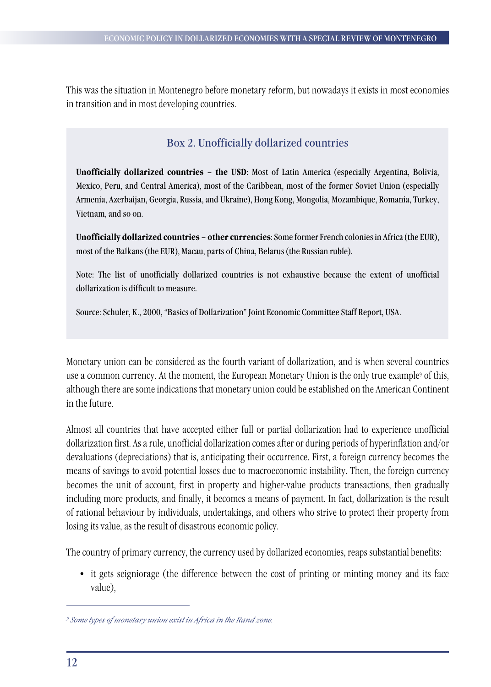This was the situation in Montenegro before monetary reform, but nowadays it exists in most economies in transition and in most developing countries.

## Box 2. Unofficially dollarized countries

**Unofficially dollarized countries – the USD**: Most of Latin America (especially Argentina, Bolivia, Mexico, Peru, and Central America), most of the Caribbean, most of the former Soviet Union (especially Armenia, Azerbaijan, Georgia, Russia, and Ukraine), Hong Kong, Mongolia, Mozambique, Romania, Turkey, Vietnam, and so on.

**Unofficially dollarized countries – other currencies**: Some former French colonies in Africa (the EUR), most of the Balkans (the EUR), Macau, parts of China, Belarus (the Russian ruble).

Note: The list of unofficially dollarized countries is not exhaustive because the extent of unofficial dollarization is difficult to measure.

Source: Schuler, K., 2000, "Basics of Dollarization" Joint Economic Committee Staff Report, USA.

Monetary union can be considered as the fourth variant of dollarization, and is when several countries use a common currency. At the moment, the European Monetary Union is the only true example<sup>9</sup> of this, although there are some indications that monetary union could be established on the American Continent in the future.

Almost all countries that have accepted either full or partial dollarization had to experience unofficial dollarization first. As a rule, unofficial dollarization comes after or during periods of hyperinflation and/or devaluations (depreciations) that is, anticipating their occurrence. First, a foreign currency becomes the means of savings to avoid potential losses due to macroeconomic instability. Then, the foreign currency becomes the unit of account, first in property and higher-value products transactions, then gradually including more products, and finally, it becomes a means of payment. In fact, dollarization is the result of rational behaviour by individuals, undertakings, and others who strive to protect their property from losing its value, as the result of disastrous economic policy.

The country of primary currency, the currency used by dollarized economies, reaps substantial benefits:

• it gets seigniorage (the difference between the cost of printing or minting money and its face value),

*<sup>9</sup> Some types of monetary union exist in Africa in the Rand zone.*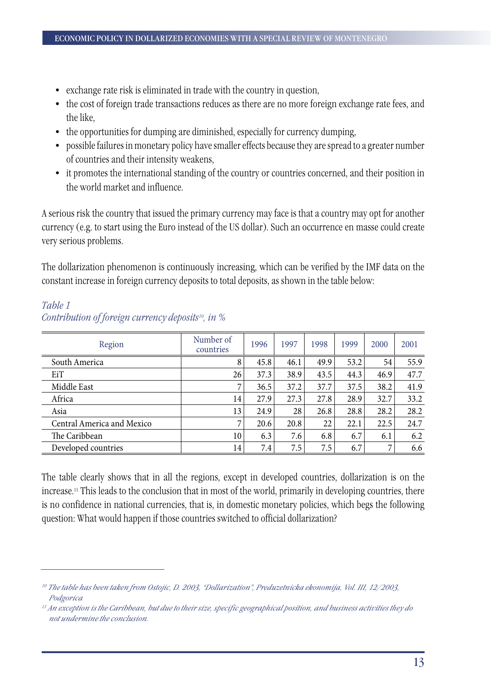- exchange rate risk is eliminated in trade with the country in question,
- the cost of foreign trade transactions reduces as there are no more foreign exchange rate fees, and the like,
- the opportunities for dumping are diminished, especially for currency dumping,
- possible failures in monetary policy have smaller effects because they are spread to a greater number of countries and their intensity weakens,
- it promotes the international standing of the country or countries concerned, and their position in the world market and influence.

A serious risk the country that issued the primary currency may face is that a country may opt for another currency (e.g. to start using the Euro instead of the US dollar). Such an occurrence en masse could create very serious problems.

The dollarization phenomenon is continuously increasing, which can be verified by the IMF data on the constant increase in foreign currency deposits to total deposits, as shown in the table below:

| Region                     | Number of<br>countries | 1996 | 1997 | 1998 | 1999 | 2000 | 2001 |
|----------------------------|------------------------|------|------|------|------|------|------|
| South America              | 8                      | 45.8 | 46.1 | 49.9 | 53.2 | 54   | 55.9 |
| EiT                        | 26                     | 37.3 | 38.9 | 43.5 | 44.3 | 46.9 | 47.7 |
| Middle East                | 7                      | 36.5 | 37.2 | 37.7 | 37.5 | 38.2 | 41.9 |
| Africa                     | 14                     | 27.9 | 27.3 | 27.8 | 28.9 | 32.7 | 33.2 |
| Asia                       | 13                     | 24.9 | 28   | 26.8 | 28.8 | 28.2 | 28.2 |
| Central America and Mexico | 7                      | 20.6 | 20.8 | 22   | 22.1 | 22.5 | 24.7 |
| The Caribbean              | 10                     | 6.3  | 7.6  | 6.8  | 6.7  | 6.1  | 6.2  |
| Developed countries        | 14                     | 7.4  | 7.5  | 7.5  | 6.7  | 7    | 6.6  |

## *Table 1 Contribution of foreign currency deposits10, in %*

The table clearly shows that in all the regions, except in developed countries, dollarization is on the increase.11 This leads to the conclusion that in most of the world, primarily in developing countries, there is no confidence in national currencies, that is, in domestic monetary policies, which begs the following question: What would happen if those countries switched to official dollarization?

*<sup>10</sup> The table has been taken from Ostojic, D. 2003, "Dollarization", Preduzetnicka ekonomija, Vol. III, 12/2003, Podgorica*

*<sup>11</sup> An exception is the Caribbean, but due to their size, specific geographical position, and business activities they do not undermine the conclusion.*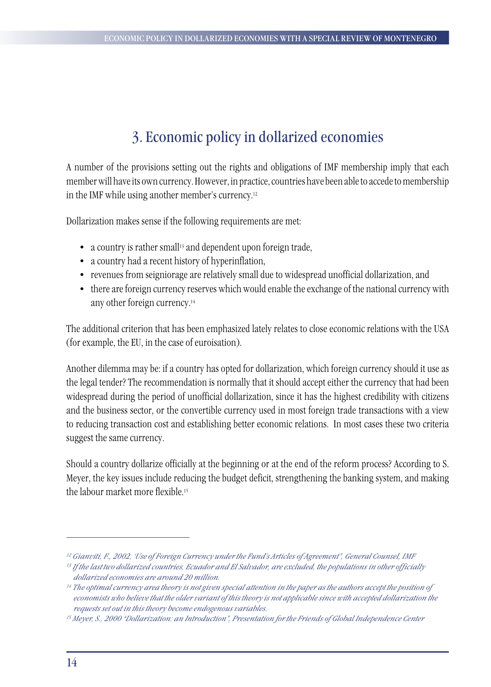## 3. Economic policy in dollarized economies

A number of the provisions setting out the rights and obligations of IMF membership imply that each member will have its own currency. However, in practice, countries have been able to accede to membership in the IMF while using another member's currency.12

Dollarization makes sense if the following requirements are met:

- a country is rather small<sup>13</sup> and dependent upon foreign trade,
- a country had a recent history of hyperinflation,
- revenues from seigniorage are relatively small due to widespread unofficial dollarization, and
- there are foreign currency reserves which would enable the exchange of the national currency with any other foreign currency.14

The additional criterion that has been emphasized lately relates to close economic relations with the USA (for example, the EU, in the case of euroisation).

Another dilemma may be: if a country has opted for dollarization, which foreign currency should it use as the legal tender? The recommendation is normally that it should accept either the currency that had been widespread during the period of unofficial dollarization, since it has the highest credibility with citizens and the business sector, or the convertible currency used in most foreign trade transactions with a view to reducing transaction cost and establishing better economic relations. In most cases these two criteria suggest the same currency.

Should a country dollarize officially at the beginning or at the end of the reform process? According to S. Meyer, the key issues include reducing the budget deficit, strengthening the banking system, and making the labour market more flexible.<sup>15</sup>

*<sup>12</sup> Gianviti, F., 2002, 'Use of Foreign Currency under the Fund's Articles of Agreement", General Counsel, IMF*

*<sup>13</sup> If the last two dollarized countries, Ecuador and El Salvador, are excluded, the populations in other officially dollarized economies are around 20 million.* 

*<sup>14</sup> The optimal currency area theory is not given special attention in the paper as the authors accept the position of economists who believe that the older variant of this theory is not applicable since with accepted dollarization the requests set out in this theory become endogenous variables.* 

*<sup>15</sup> Meyer, S., 2000 "Dollarization: an Introduction", Presentation for the Friends of Global Independence Center*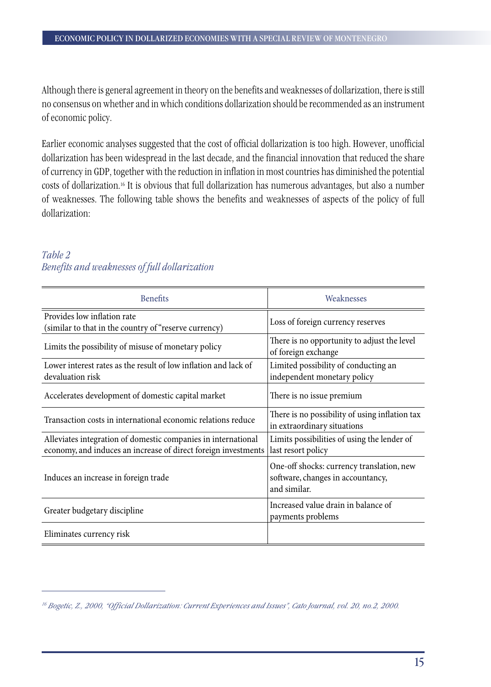Although there is general agreement in theory on the benefits and weaknesses of dollarization, there is still no consensus on whether and in which conditions dollarization should be recommended as an instrument of economic policy.

Earlier economic analyses suggested that the cost of official dollarization is too high. However, unofficial dollarization has been widespread in the last decade, and the financial innovation that reduced the share of currency in GDP, together with the reduction in inflation in most countries has diminished the potential costs of dollarization.16 It is obvious that full dollarization has numerous advantages, but also a number of weaknesses. The following table shows the benefits and weaknesses of aspects of the policy of full dollarization:

### *Table 2 Benefits and weaknesses of full dollarization*

| <b>Benefits</b>                                                                                                                 | Weaknesses                                                                                     |
|---------------------------------------------------------------------------------------------------------------------------------|------------------------------------------------------------------------------------------------|
| Provides low inflation rate<br>(similar to that in the country of "reserve currency)                                            | Loss of foreign currency reserves                                                              |
| Limits the possibility of misuse of monetary policy                                                                             | There is no opportunity to adjust the level<br>of foreign exchange                             |
| Lower interest rates as the result of low inflation and lack of<br>devaluation risk                                             | Limited possibility of conducting an<br>independent monetary policy                            |
| Accelerates development of domestic capital market                                                                              | There is no issue premium                                                                      |
| Transaction costs in international economic relations reduce                                                                    | There is no possibility of using inflation tax<br>in extraordinary situations                  |
| Alleviates integration of domestic companies in international<br>economy, and induces an increase of direct foreign investments | Limits possibilities of using the lender of<br>last resort policy                              |
| Induces an increase in foreign trade                                                                                            | One-off shocks: currency translation, new<br>software, changes in accountancy,<br>and similar. |
| Greater budgetary discipline                                                                                                    | Increased value drain in balance of<br>payments problems                                       |
| Eliminates currency risk                                                                                                        |                                                                                                |

*<sup>16</sup> Bogetic, Z., 2000, "Official Dollarization: Current Experiences and Issues", Cato Journal, vol. 20, no.2, 2000.*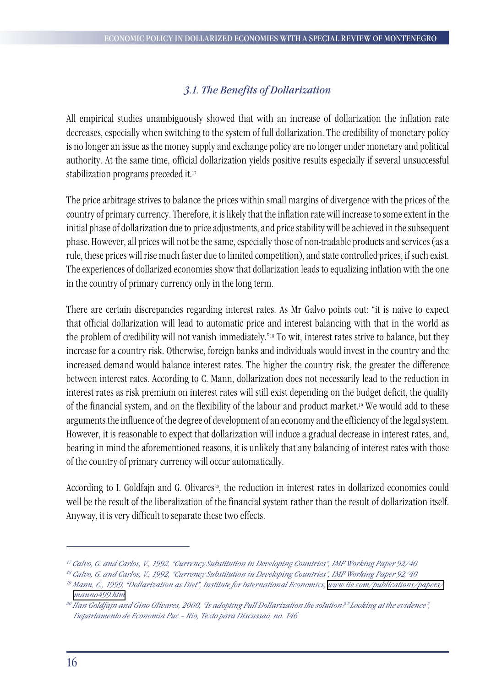## *3.1. The Benefits of Dollarization*

All empirical studies unambiguously showed that with an increase of dollarization the inflation rate decreases, especially when switching to the system of full dollarization. The credibility of monetary policy is no longer an issue as the money supply and exchange policy are no longer under monetary and political authority. At the same time, official dollarization yields positive results especially if several unsuccessful stabilization programs preceded it.17

The price arbitrage strives to balance the prices within small margins of divergence with the prices of the country of primary currency. Therefore, it is likely that the inflation rate will increase to some extent in the initial phase of dollarization due to price adjustments, and price stability will be achieved in the subsequent phase. However, all prices will not be the same, especially those of non-tradable products and services (as a rule, these prices will rise much faster due to limited competition), and state controlled prices, if such exist. The experiences of dollarized economies show that dollarization leads to equalizing inflation with the one in the country of primary currency only in the long term.

There are certain discrepancies regarding interest rates. As Mr Galvo points out: "it is naive to expect that official dollarization will lead to automatic price and interest balancing with that in the world as the problem of credibility will not vanish immediately."18 To wit, interest rates strive to balance, but they increase for a country risk. Otherwise, foreign banks and individuals would invest in the country and the increased demand would balance interest rates. The higher the country risk, the greater the difference between interest rates. According to C. Mann, dollarization does not necessarily lead to the reduction in interest rates as risk premium on interest rates will still exist depending on the budget deficit, the quality of the financial system, and on the flexibility of the labour and product market.19 We would add to these arguments the influence of the degree of development of an economy and the efficiency of the legal system. However, it is reasonable to expect that dollarization will induce a gradual decrease in interest rates, and, bearing in mind the aforementioned reasons, it is unlikely that any balancing of interest rates with those of the country of primary currency will occur automatically.

According to I. Goldfajn and G. Olivares<sup>20</sup>, the reduction in interest rates in dollarized economies could well be the result of the liberalization of the financial system rather than the result of dollarization itself. Anyway, it is very difficult to separate these two effects.

*<sup>17</sup> Calvo, G. and Carlos, V., 1992, "Currency Substitution in Developing Countries", IMF Working Paper 92/40*

*<sup>18</sup> Calvo, G. and Carlos, V., 1992, "Currency Substitution in Developing Countries", IMF Working Paper 92/40*

*<sup>19</sup> Mann, C., 1999, "Dollarization as Diet", Institute for International Economics, [www.iie.com/publications/papers/](http://www.iie.com/publications/papers/manno499.htm) [manno499.htm](http://www.iie.com/publications/papers/manno499.htm)*

*<sup>20</sup> Ilan Goldfajn and Gino Olivares, 2000, "Is adopting Full Dollarization the solution?" Looking at the evidence", Departamento de Economia Puc – Rio, Texto para Discussao, no. 146*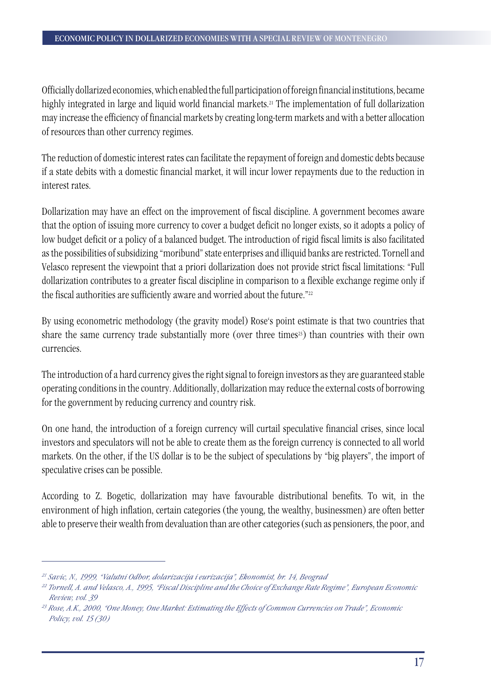Officially dollarized economies, which enabled the full participation of foreign financial institutions, became highly integrated in large and liquid world financial markets.<sup>21</sup> The implementation of full dollarization may increase the efficiency of financial markets by creating long-term markets and with a better allocation of resources than other currency regimes.

The reduction of domestic interest rates can facilitate the repayment of foreign and domestic debts because if a state debits with a domestic financial market, it will incur lower repayments due to the reduction in interest rates.

Dollarization may have an effect on the improvement of fiscal discipline. A government becomes aware that the option of issuing more currency to cover a budget deficit no longer exists, so it adopts a policy of low budget deficit or a policy of a balanced budget. The introduction of rigid fiscal limits is also facilitated as the possibilities of subsidizing "moribund" state enterprises and illiquid banks are restricted. Tornell and Velasco represent the viewpoint that a priori dollarization does not provide strict fiscal limitations: "Full dollarization contributes to a greater fiscal discipline in comparison to a flexible exchange regime only if the fiscal authorities are sufficiently aware and worried about the future."22

By using econometric methodology (the gravity model) Rose's point estimate is that two countries that share the same currency trade substantially more (over three times<sup>23</sup>) than countries with their own currencies.

The introduction of a hard currency gives the right signal to foreign investors as they are guaranteed stable operating conditions in the country. Additionally, dollarization may reduce the external costs of borrowing for the government by reducing currency and country risk.

On one hand, the introduction of a foreign currency will curtail speculative financial crises, since local investors and speculators will not be able to create them as the foreign currency is connected to all world markets. On the other, if the US dollar is to be the subject of speculations by "big players", the import of speculative crises can be possible.

According to Z. Bogetic, dollarization may have favourable distributional benefits. To wit, in the environment of high inflation, certain categories (the young, the wealthy, businessmen) are often better able to preserve their wealth from devaluation than are other categories (such as pensioners, the poor, and

*<sup>21</sup> Savic, N., 1999, "Valutni Odbor, dolarizacija i eurizacija", Ekonomist, br. 14, Beograd*

*<sup>22</sup> Tornell, A. and Velasco, A., 1995, "Fiscal Discipline and the Choice of Exchange Rate Regime", European Economic Review, vol. 39*

*<sup>23</sup> Rose, A.K., 2000, "One Money, One Market: Estimating the Effects of Common Currencies on Trade", Economic Policy, vol. 15 (30)*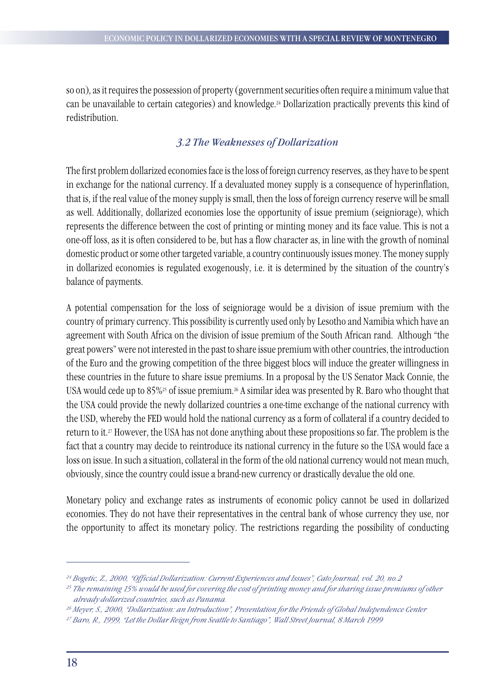so on), as it requires the possession of property (government securities often require a minimum value that can be unavailable to certain categories) and knowledge.24 Dollarization practically prevents this kind of redistribution.

## *3.2 The Weaknesses of Dollarization*

The first problem dollarized economies face is the loss of foreign currency reserves, as they have to be spent in exchange for the national currency. If a devaluated money supply is a consequence of hyperinflation, that is, if the real value of the money supply is small, then the loss of foreign currency reserve will be small as well. Additionally, dollarized economies lose the opportunity of issue premium (seigniorage), which represents the difference between the cost of printing or minting money and its face value. This is not a one-off loss, as it is often considered to be, but has a flow character as, in line with the growth of nominal domestic product or some other targeted variable, a country continuously issues money. The money supply in dollarized economies is regulated exogenously, i.e. it is determined by the situation of the country's balance of payments.

A potential compensation for the loss of seigniorage would be a division of issue premium with the country of primary currency. This possibility is currently used only by Lesotho and Namibia which have an agreement with South Africa on the division of issue premium of the South African rand. Although "the great powers" were not interested in the past to share issue premium with other countries, the introduction of the Euro and the growing competition of the three biggest blocs will induce the greater willingness in these countries in the future to share issue premiums. In a proposal by the US Senator Mack Connie, the USA would cede up to 85%<sup>25</sup> of issue premium.<sup>26</sup> A similar idea was presented by R. Baro who thought that the USA could provide the newly dollarized countries a one-time exchange of the national currency with the USD, whereby the FED would hold the national currency as a form of collateral if a country decided to return to it.27 However, the USA has not done anything about these propositions so far. The problem is the fact that a country may decide to reintroduce its national currency in the future so the USA would face a loss on issue. In such a situation, collateral in the form of the old national currency would not mean much, obviously, since the country could issue a brand-new currency or drastically devalue the old one.

Monetary policy and exchange rates as instruments of economic policy cannot be used in dollarized economies. They do not have their representatives in the central bank of whose currency they use, nor the opportunity to affect its monetary policy. The restrictions regarding the possibility of conducting

*<sup>24</sup> Bogetic, Z., 2000, "Official Dollarization: Current Experiences and Issues", Cato Journal, vol. 20, no.2*

*<sup>25</sup> The remaining 15% would be used for covering the cost of printing money and for sharing issue premiums of other already dollarized countries, such as Panama.* 

*<sup>26</sup> Meyer, S., 2000, "Dollarization: an Introduction", Presentation for the Friends of Global Independence Center*

*<sup>27</sup> Baro, R., 1999, "Let the Dollar Reign from Seattle to Santiago", Wall Street Journal, 8 March 1999*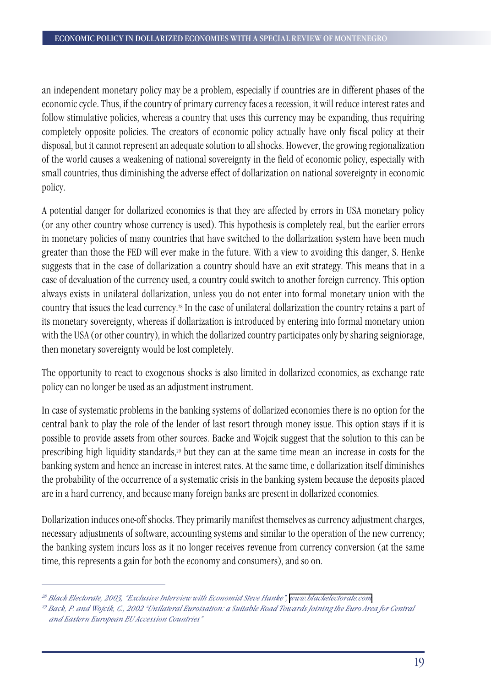an independent monetary policy may be a problem, especially if countries are in different phases of the economic cycle. Thus, if the country of primary currency faces a recession, it will reduce interest rates and follow stimulative policies, whereas a country that uses this currency may be expanding, thus requiring completely opposite policies. The creators of economic policy actually have only fiscal policy at their disposal, but it cannot represent an adequate solution to all shocks. However, the growing regionalization of the world causes a weakening of national sovereignty in the field of economic policy, especially with small countries, thus diminishing the adverse effect of dollarization on national sovereignty in economic policy.

A potential danger for dollarized economies is that they are affected by errors in USA monetary policy (or any other country whose currency is used). This hypothesis is completely real, but the earlier errors in monetary policies of many countries that have switched to the dollarization system have been much greater than those the FED will ever make in the future. With a view to avoiding this danger, S. Henke suggests that in the case of dollarization a country should have an exit strategy. This means that in a case of devaluation of the currency used, a country could switch to another foreign currency. This option always exists in unilateral dollarization, unless you do not enter into formal monetary union with the country that issues the lead currency.28 In the case of unilateral dollarization the country retains a part of its monetary sovereignty, whereas if dollarization is introduced by entering into formal monetary union with the USA (or other country), in which the dollarized country participates only by sharing seigniorage, then monetary sovereignty would be lost completely.

The opportunity to react to exogenous shocks is also limited in dollarized economies, as exchange rate policy can no longer be used as an adjustment instrument.

In case of systematic problems in the banking systems of dollarized economies there is no option for the central bank to play the role of the lender of last resort through money issue. This option stays if it is possible to provide assets from other sources. Backe and Wojcik suggest that the solution to this can be prescribing high liquidity standards,<sup>29</sup> but they can at the same time mean an increase in costs for the banking system and hence an increase in interest rates. At the same time, e dollarization itself diminishes the probability of the occurrence of a systematic crisis in the banking system because the deposits placed are in a hard currency, and because many foreign banks are present in dollarized economies.

Dollarization induces one-off shocks. They primarily manifest themselves as currency adjustment charges, necessary adjustments of software, accounting systems and similar to the operation of the new currency; the banking system incurs loss as it no longer receives revenue from currency conversion (at the same time, this represents a gain for both the economy and consumers), and so on.

*<sup>28</sup> Black Electorate, 2003, "Exclusive Interview with Economist Steve Hanke", [www.blackelectorate.com](http://www.blackelectorate.com)*

*<sup>29</sup> Back, P. and Wojcik, C., 2002 "Unilateral Euroisation: a Suitable Road Towards Joining the Euro Area for Central and Eastern European EU Accession Countries"*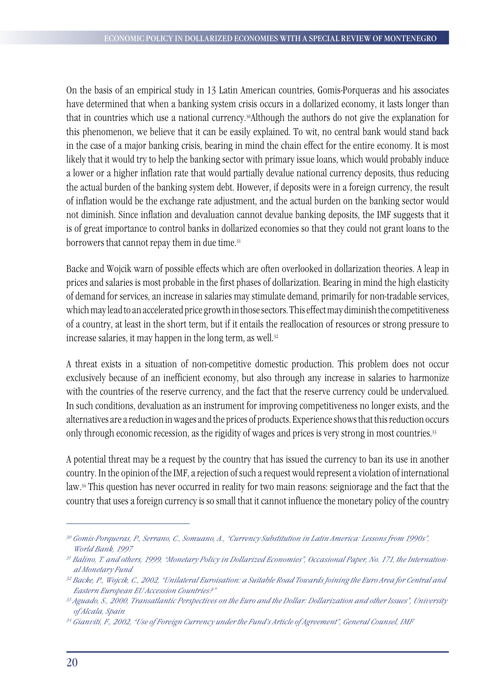On the basis of an empirical study in 13 Latin American countries, Gomis-Porqueras and his associates have determined that when a banking system crisis occurs in a dollarized economy, it lasts longer than that in countries which use a national currency.30Although the authors do not give the explanation for this phenomenon, we believe that it can be easily explained. To wit, no central bank would stand back in the case of a major banking crisis, bearing in mind the chain effect for the entire economy. It is most likely that it would try to help the banking sector with primary issue loans, which would probably induce a lower or a higher inflation rate that would partially devalue national currency deposits, thus reducing the actual burden of the banking system debt. However, if deposits were in a foreign currency, the result of inflation would be the exchange rate adjustment, and the actual burden on the banking sector would not diminish. Since inflation and devaluation cannot devalue banking deposits, the IMF suggests that it is of great importance to control banks in dollarized economies so that they could not grant loans to the borrowers that cannot repay them in due time.<sup>31</sup>

Backe and Wojcik warn of possible effects which are often overlooked in dollarization theories. A leap in prices and salaries is most probable in the first phases of dollarization. Bearing in mind the high elasticity of demand for services, an increase in salaries may stimulate demand, primarily for non-tradable services, which may lead to an accelerated price growth in those sectors. This effect may diminish the competitiveness of a country, at least in the short term, but if it entails the reallocation of resources or strong pressure to increase salaries, it may happen in the long term, as well.<sup>32</sup>

A threat exists in a situation of non-competitive domestic production. This problem does not occur exclusively because of an inefficient economy, but also through any increase in salaries to harmonize with the countries of the reserve currency, and the fact that the reserve currency could be undervalued. In such conditions, devaluation as an instrument for improving competitiveness no longer exists, and the alternatives are a reduction in wages and the prices of products. Experience shows that this reduction occurs only through economic recession, as the rigidity of wages and prices is very strong in most countries.33

A potential threat may be a request by the country that has issued the currency to ban its use in another country. In the opinion of the IMF, a rejection of such a request would represent a violation of international law.34 This question has never occurred in reality for two main reasons: seigniorage and the fact that the country that uses a foreign currency is so small that it cannot influence the monetary policy of the country

*<sup>30</sup> Gomis-Porqueras, P., Serrano, C., Somuano, A., "Currency Substitution in Latin America: Lessons from 1990s", World Bank, 1997*

*<sup>31</sup> Balino, T. and others, 1999, "Monetary Policy in Dollarized Economies", Occasional Paper, No. 171, the International Monetary Fund*

*<sup>32</sup> Backe, P., Wojcik, C., 2002, "Unilateral Euroisation: a Suitable Road Towards Joining the Euro Area for Central and Eastern European EU Accession Countries?"*

*<sup>33</sup> Aguado, S., 2000, Transatlantic Perspectives on the Euro and the Dollar: Dollarization and other Issues", University of Alcala, Spain*

*<sup>34</sup> Gianviti, F., 2002, "Use of Foreign Currency under the Fund's Article of Agreement", General Counsel, IMF*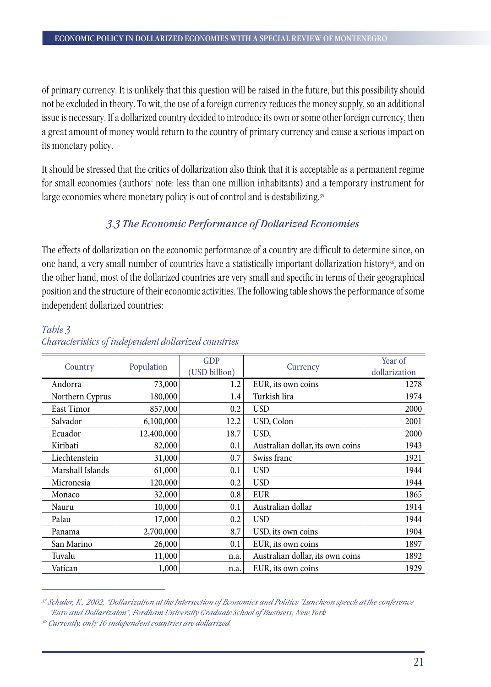of primary currency. It is unlikely that this question will be raised in the future, but this possibility should not be excluded in theory. To wit, the use of a foreign currency reduces the money supply, so an additional issue is necessary. If a dollarized country decided to introduce its own or some other foreign currency, then a great amount of money would return to the country of primary currency and cause a serious impact on its monetary policy.

It should be stressed that the critics of dollarization also think that it is acceptable as a permanent regime for small economies (authors' note: less than one million inhabitants) and a temporary instrument for large economies where monetary policy is out of control and is destabilizing.<sup>35</sup>

## *3.3 The Economic Performance of Dollarized Economies*

The effects of dollarization on the economic performance of a country are difficult to determine since, on one hand, a very small number of countries have a statistically important dollarization history<sup>36</sup>, and on the other hand, most of the dollarized countries are very small and specific in terms of their geographical position and the structure of their economic activities. The following table shows the performance of some independent dollarized countries:

| Country          | Population | <b>GDP</b><br>(USD billion) | Currency                         | Year of<br>dollarization |  |
|------------------|------------|-----------------------------|----------------------------------|--------------------------|--|
| Andorra          | 73,000     | 1.2                         | EUR, its own coins               | 1278                     |  |
| Northern Cyprus  | 180,000    | 1.4                         | Turkish lira                     | 1974                     |  |
| East Timor       | 857,000    | 0.2                         | <b>USD</b>                       | 2000                     |  |
| Salvador         | 6,100,000  | 12.2                        | USD, Colon                       | 2001                     |  |
| Ecuador          | 12,400,000 | 18.7                        | USD,                             | 2000                     |  |
| Kiribati         | 82,000     | 0.1                         | Australian dollar, its own coins | 1943                     |  |
| Liechtenstein    | 31,000     | 0.7                         | Swiss franc                      | 1921                     |  |
| Marshall Islands | 61,000     | 0.1                         | <b>USD</b>                       | 1944                     |  |
| Micronesia       | 120,000    | 0.2                         | <b>USD</b>                       | 1944                     |  |
| Monaco           | 32,000     | 0.8                         | <b>EUR</b>                       | 1865                     |  |
| Nauru            | 10,000     | 0.1                         | Australian dollar                | 1914                     |  |
| Palau            | 17,000     | 0.2                         | <b>USD</b>                       | 1944                     |  |
| Panama           | 2,700,000  | 8.7                         | USD, its own coins               | 1904                     |  |
| San Marino       | 26,000     | 0.1                         | EUR, its own coins               | 1897                     |  |
| Tuvalu           | 11,000     | n.a.                        | Australian dollar, its own coins | 1892                     |  |
| Vatican          | 1,000      | n.a.                        | EUR, its own coins               | 1929                     |  |

## *Table 3 Characteristics of independent dollarized countries*

*<sup>35</sup> Schuler, K., 2002, "Dollarization at the Intersection of Economics and Politics "Luncheon speech at the conference "Euro and Dollarizaton", Fordham University Graduate School of Business, New York*

*<sup>36</sup> Currently, only 16 independent countries are dollarized.*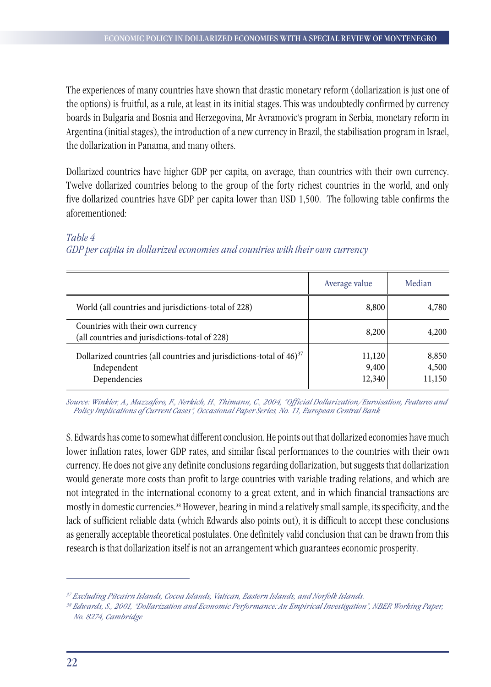The experiences of many countries have shown that drastic monetary reform (dollarization is just one of the options) is fruitful, as a rule, at least in its initial stages. This was undoubtedly confirmed by currency boards in Bulgaria and Bosnia and Herzegovina, Mr Avramovic's program in Serbia, monetary reform in Argentina (initial stages), the introduction of a new currency in Brazil, the stabilisation program in Israel, the dollarization in Panama, and many others.

Dollarized countries have higher GDP per capita, on average, than countries with their own currency. Twelve dollarized countries belong to the group of the forty richest countries in the world, and only five dollarized countries have GDP per capita lower than USD 1,500. The following table confirms the aforementioned:

#### Average value | Median World (all countries and jurisdictions-total of 228) 8,800 8,800 4,780 Countries with their own currency (all countries and jurisdictions-total of 228)  $8,200$   $4,200$ Dollarized countries (all countries and jurisdictions-total of  $46)^{37}$ Independent Dependencies 11,120 9,400 12,340 8,850 4,500 11,150

## *Table 4 GDP per capita in dollarized economies and countries with their own currency*

*Source: Winkler, A., Mazzafero, F., Nerkich, H., Thimann, C., 2004, "Official Dollarization/Euroisation, Features and Policy Implications of Current Cases", Occasional Paper Series, No. 11, European Central Bank*

S. Edwards has come to somewhat different conclusion. He points out that dollarized economies have much lower inflation rates, lower GDP rates, and similar fiscal performances to the countries with their own currency. He does not give any definite conclusions regarding dollarization, but suggests that dollarization would generate more costs than profit to large countries with variable trading relations, and which are not integrated in the international economy to a great extent, and in which financial transactions are mostly in domestic currencies.38 However, bearing in mind a relatively small sample, its specificity, and the lack of sufficient reliable data (which Edwards also points out), it is difficult to accept these conclusions as generally acceptable theoretical postulates. One definitely valid conclusion that can be drawn from this research is that dollarization itself is not an arrangement which guarantees economic prosperity.

*<sup>37</sup> Excluding Pitcairn Islands, Cocoa Islands, Vatican, Eastern Islands, and Norfolk Islands.*

*<sup>38</sup> Edwards, S., 2001, "Dollarization and Economic Performance: An Empirical Investigation", NBER Working Paper, No. 8274, Cambridge*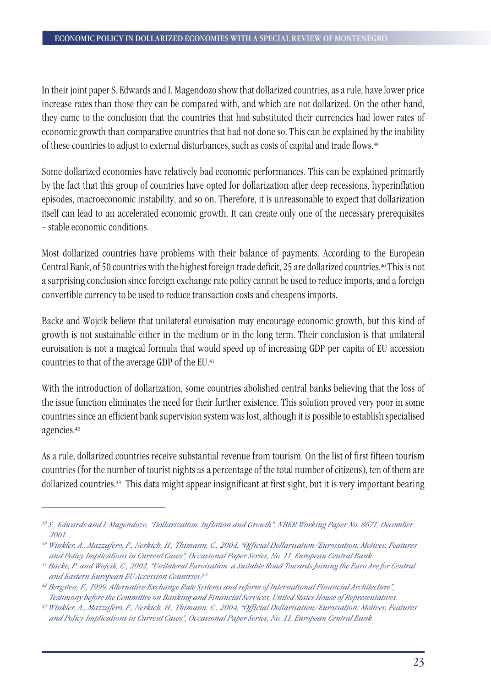In their joint paper S. Edwards and I. Magendozo show that dollarized countries, as a rule, have lower price increase rates than those they can be compared with, and which are not dollarized. On the other hand, they came to the conclusion that the countries that had substituted their currencies had lower rates of economic growth than comparative countries that had not done so. This can be explained by the inability of these countries to adjust to external disturbances, such as costs of capital and trade flows.<sup>39</sup>

Some dollarized economies have relatively bad economic performances. This can be explained primarily by the fact that this group of countries have opted for dollarization after deep recessions, hyperinflation episodes, macroeconomic instability, and so on. Therefore, it is unreasonable to expect that dollarization itself can lead to an accelerated economic growth. It can create only one of the necessary prerequisites – stable economic conditions.

Most dollarized countries have problems with their balance of payments. According to the European Central Bank, of 50 countries with the highest foreign trade deficit, 25 are dollarized countries.40 This is not a surprising conclusion since foreign exchange rate policy cannot be used to reduce imports, and a foreign convertible currency to be used to reduce transaction costs and cheapens imports.

Backe and Wojcik believe that unilateral euroisation may encourage economic growth, but this kind of growth is not sustainable either in the medium or in the long term. Their conclusion is that unilateral euroisation is not a magical formula that would speed up of increasing GDP per capita of EU accession countries to that of the average GDP of the EU.<sup>41</sup>

With the introduction of dollarization, some countries abolished central banks believing that the loss of the issue function eliminates the need for their further existence. This solution proved very poor in some countries since an efficient bank supervision system was lost, although it is possible to establish specialised agencies.<sup>42</sup>

As a rule, dollarized countries receive substantial revenue from tourism. On the list of first fifteen tourism countries (for the number of tourist nights as a percentage of the total number of citizens), ten of them are dollarized countries.43 This data might appear insignificant at first sight, but it is very important bearing

*<sup>39</sup> S., Edwards and I. Magendozo, "Dollarization, Inflation and Growth", NBER Working Paper No. 8671, December 2001.* 

*<sup>40</sup> Winkler, A., Mazzafero, F., Nerkich, H., Thimann, C., 2004, "Official Dollarisation/Euroisation: Motives, Features and Policy Implications in Current Cases", Occasional Paper Series, No. 11, European Central Bank.*

*<sup>41</sup> Backe, P. and Wojcik, C., 2002, "Unilateral Euroisation: a Suitable Road Towards Joining the Euro Are for Central and Eastern European EU Accession Countries?"*

*<sup>42</sup> Bergsten, F., 1999, Alternative Exchange Rate Systems and reform of International Financial Architecture", Testimony before the Committee on Banking and Financial Services, United States House of Representatives.*

*<sup>43</sup> Winkler, A., Mazzafero, F., Nerkich, H., Thimann, C., 2004, "Official Dollarisation/Euroisation: Motives, Features and Policy Implications in Current Cases", Occasional Paper Series, No. 11, European Central Bank.*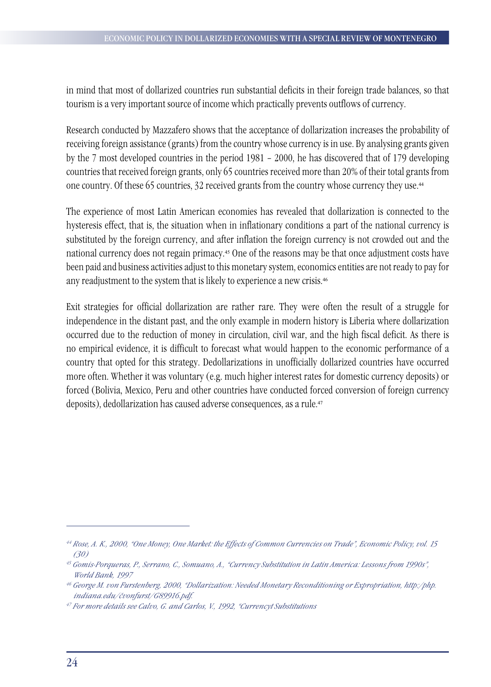in mind that most of dollarized countries run substantial deficits in their foreign trade balances, so that tourism is a very important source of income which practically prevents outflows of currency.

Research conducted by Mazzafero shows that the acceptance of dollarization increases the probability of receiving foreign assistance (grants) from the country whose currency is in use. By analysing grants given by the 7 most developed countries in the period 1981 – 2000, he has discovered that of 179 developing countries that received foreign grants, only 65 countries received more than 20% of their total grants from one country. Of these 65 countries, 32 received grants from the country whose currency they use.<sup>44</sup>

The experience of most Latin American economies has revealed that dollarization is connected to the hysteresis effect, that is, the situation when in inflationary conditions a part of the national currency is substituted by the foreign currency, and after inflation the foreign currency is not crowded out and the national currency does not regain primacy.45 One of the reasons may be that once adjustment costs have been paid and business activities adjust to this monetary system, economics entities are not ready to pay for any readjustment to the system that is likely to experience a new crisis.<sup>46</sup>

Exit strategies for official dollarization are rather rare. They were often the result of a struggle for independence in the distant past, and the only example in modern history is Liberia where dollarization occurred due to the reduction of money in circulation, civil war, and the high fiscal deficit. As there is no empirical evidence, it is difficult to forecast what would happen to the economic performance of a country that opted for this strategy. Dedollarizations in unofficially dollarized countries have occurred more often. Whether it was voluntary (e.g. much higher interest rates for domestic currency deposits) or forced (Bolivia, Mexico, Peru and other countries have conducted forced conversion of foreign currency deposits), dedollarization has caused adverse consequences, as a rule.<sup>47</sup>

*<sup>44</sup> Rose, A. K., 2000, "One Money, One Market: the Effects of Common Currencies on Trade", Economic Policy, vol. 15 (30)* 

*<sup>45</sup> Gomis-Porqueras, P., Serrano, C., Somuano, A., "Currency Substitution in Latin America: Lessons from 1990s", World Bank, 1997*

*<sup>46</sup> George M. von Furstenberg, 2000, "Dollarization: Needed Monetary Reconditioning or Expropriation, http:/php. indiana.edu/~vonfurst/G89916.pdf.*

*<sup>47</sup> For more details see Calvo, G. and Carlos, V., 1992, "Currencyt Substitutions*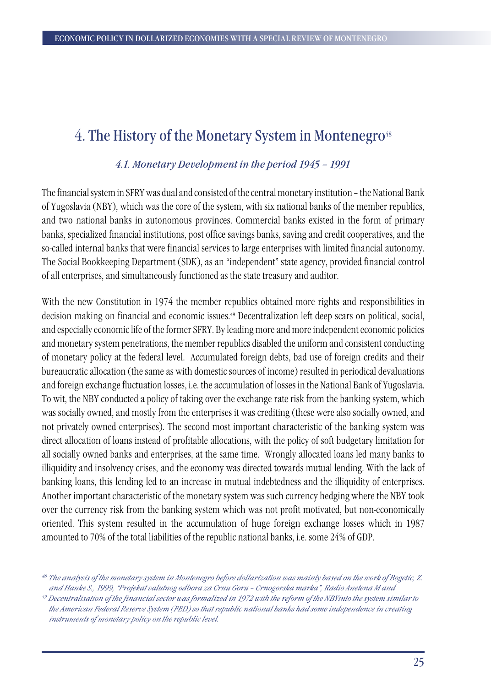## 4. The History of the Monetary System in Montenegro<sup>48</sup>

### *4.1. Monetary Development in the period 1945 – 1991*

The financial system in SFRY was dual and consisted of the central monetary institution – the National Bank of Yugoslavia (NBY), which was the core of the system, with six national banks of the member republics, and two national banks in autonomous provinces. Commercial banks existed in the form of primary banks, specialized financial institutions, post office savings banks, saving and credit cooperatives, and the so-called internal banks that were financial services to large enterprises with limited financial autonomy. The Social Bookkeeping Department (SDK), as an "independent" state agency, provided financial control of all enterprises, and simultaneously functioned as the state treasury and auditor.

With the new Constitution in 1974 the member republics obtained more rights and responsibilities in decision making on financial and economic issues.<sup>49</sup> Decentralization left deep scars on political, social, and especially economic life of the former SFRY. By leading more and more independent economic policies and monetary system penetrations, the member republics disabled the uniform and consistent conducting of monetary policy at the federal level. Accumulated foreign debts, bad use of foreign credits and their bureaucratic allocation (the same as with domestic sources of income) resulted in periodical devaluations and foreign exchange fluctuation losses, i.e. the accumulation of losses in the National Bank of Yugoslavia. To wit, the NBY conducted a policy of taking over the exchange rate risk from the banking system, which was socially owned, and mostly from the enterprises it was crediting (these were also socially owned, and not privately owned enterprises). The second most important characteristic of the banking system was direct allocation of loans instead of profitable allocations, with the policy of soft budgetary limitation for all socially owned banks and enterprises, at the same time. Wrongly allocated loans led many banks to illiquidity and insolvency crises, and the economy was directed towards mutual lending. With the lack of banking loans, this lending led to an increase in mutual indebtedness and the illiquidity of enterprises. Another important characteristic of the monetary system was such currency hedging where the NBY took over the currency risk from the banking system which was not profit motivated, but non-economically oriented. This system resulted in the accumulation of huge foreign exchange losses which in 1987 amounted to 70% of the total liabilities of the republic national banks, i.e. some 24% of GDP.

*<sup>48</sup> The analysis of the monetary system in Montenegro before dollarization was mainly based on the work of Bogetic, Z. and Hanke S., 1999, "Projekat valutnog odbora za Crnu Goru – Crnogorska marka", Radio Anetena M and* 

*<sup>49</sup> Decentralisation of the financial sector was formalized in 1972 with the reform of the NBYinto the system similar to the American Federal Reserve System (FED) so that republic national banks had some independence in creating instruments of monetary policy on the republic level.*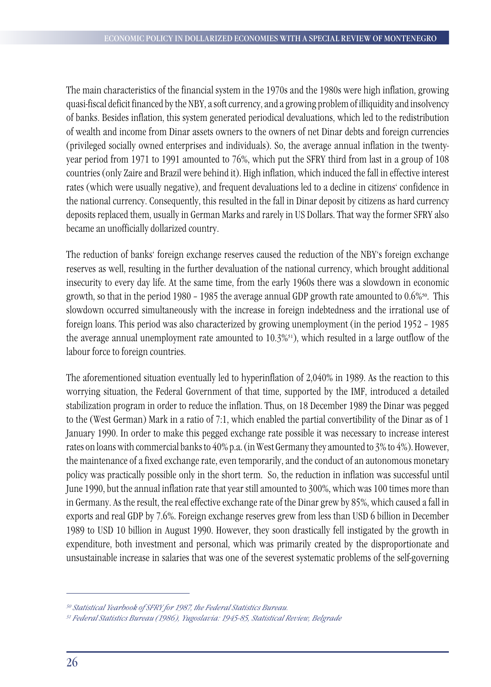The main characteristics of the financial system in the 1970s and the 1980s were high inflation, growing quasi-fiscal deficit financed by the NBY, a soft currency, and a growing problem of illiquidity and insolvency of banks. Besides inflation, this system generated periodical devaluations, which led to the redistribution of wealth and income from Dinar assets owners to the owners of net Dinar debts and foreign currencies (privileged socially owned enterprises and individuals). So, the average annual inflation in the twentyyear period from 1971 to 1991 amounted to 76%, which put the SFRY third from last in a group of 108 countries (only Zaire and Brazil were behind it). High inflation, which induced the fall in effective interest rates (which were usually negative), and frequent devaluations led to a decline in citizens' confidence in the national currency. Consequently, this resulted in the fall in Dinar deposit by citizens as hard currency deposits replaced them, usually in German Marks and rarely in US Dollars. That way the former SFRY also became an unofficially dollarized country.

The reduction of banks' foreign exchange reserves caused the reduction of the NBY's foreign exchange reserves as well, resulting in the further devaluation of the national currency, which brought additional insecurity to every day life. At the same time, from the early 1960s there was a slowdown in economic growth, so that in the period 1980 – 1985 the average annual GDP growth rate amounted to 0.6%50. This slowdown occurred simultaneously with the increase in foreign indebtedness and the irrational use of foreign loans. This period was also characterized by growing unemployment (in the period 1952 – 1985 the average annual unemployment rate amounted to 10.3%51), which resulted in a large outflow of the labour force to foreign countries.

The aforementioned situation eventually led to hyperinflation of 2,040% in 1989. As the reaction to this worrying situation, the Federal Government of that time, supported by the IMF, introduced a detailed stabilization program in order to reduce the inflation. Thus, on 18 December 1989 the Dinar was pegged to the (West German) Mark in a ratio of 7:1, which enabled the partial convertibility of the Dinar as of 1 January 1990. In order to make this pegged exchange rate possible it was necessary to increase interest rates on loans with commercial banks to 40% p.a. (in West Germany they amounted to 3% to 4%). However, the maintenance of a fixed exchange rate, even temporarily, and the conduct of an autonomous monetary policy was practically possible only in the short term. So, the reduction in inflation was successful until June 1990, but the annual inflation rate that year still amounted to 300%, which was 100 times more than in Germany. As the result, the real effective exchange rate of the Dinar grew by 85%, which caused a fall in exports and real GDP by 7.6%. Foreign exchange reserves grew from less than USD 6 billion in December 1989 to USD 10 billion in August 1990. However, they soon drastically fell instigated by the growth in expenditure, both investment and personal, which was primarily created by the disproportionate and unsustainable increase in salaries that was one of the severest systematic problems of the self-governing

*<sup>50</sup> Statistical Yearbook of SFRY for 1987, the Federal Statistics Bureau.*

*<sup>51</sup> Federal Statistics Bureau (1986), Yugoslavia: 1945-85, Statistical Review, Belgrade*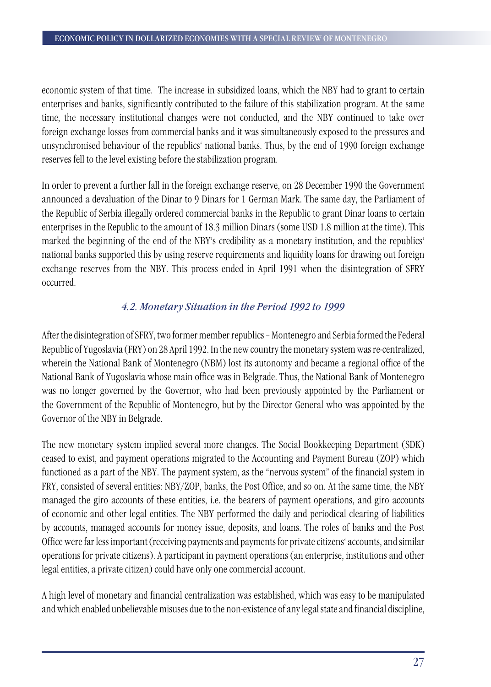economic system of that time. The increase in subsidized loans, which the NBY had to grant to certain enterprises and banks, significantly contributed to the failure of this stabilization program. At the same time, the necessary institutional changes were not conducted, and the NBY continued to take over foreign exchange losses from commercial banks and it was simultaneously exposed to the pressures and unsynchronised behaviour of the republics' national banks. Thus, by the end of 1990 foreign exchange reserves fell to the level existing before the stabilization program.

In order to prevent a further fall in the foreign exchange reserve, on 28 December 1990 the Government announced a devaluation of the Dinar to 9 Dinars for 1 German Mark. The same day, the Parliament of the Republic of Serbia illegally ordered commercial banks in the Republic to grant Dinar loans to certain enterprises in the Republic to the amount of 18.3 million Dinars (some USD 1.8 million at the time). This marked the beginning of the end of the NBY's credibility as a monetary institution, and the republics' national banks supported this by using reserve requirements and liquidity loans for drawing out foreign exchange reserves from the NBY. This process ended in April 1991 when the disintegration of SFRY occurred.

## *4.2. Monetary Situation in the Period 1992 to 1999*

After the disintegration of SFRY, two former member republics – Montenegro and Serbia formed the Federal Republic of Yugoslavia (FRY) on 28 April 1992. In the new country the monetary system was re-centralized, wherein the National Bank of Montenegro (NBM) lost its autonomy and became a regional office of the National Bank of Yugoslavia whose main office was in Belgrade. Thus, the National Bank of Montenegro was no longer governed by the Governor, who had been previously appointed by the Parliament or the Government of the Republic of Montenegro, but by the Director General who was appointed by the Governor of the NBY in Belgrade.

The new monetary system implied several more changes. The Social Bookkeeping Department (SDK) ceased to exist, and payment operations migrated to the Accounting and Payment Bureau (ZOP) which functioned as a part of the NBY. The payment system, as the "nervous system" of the financial system in FRY, consisted of several entities: NBY/ZOP, banks, the Post Office, and so on. At the same time, the NBY managed the giro accounts of these entities, i.e. the bearers of payment operations, and giro accounts of economic and other legal entities. The NBY performed the daily and periodical clearing of liabilities by accounts, managed accounts for money issue, deposits, and loans. The roles of banks and the Post Office were far less important (receiving payments and payments for private citizens' accounts, and similar operations for private citizens). A participant in payment operations (an enterprise, institutions and other legal entities, a private citizen) could have only one commercial account.

A high level of monetary and financial centralization was established, which was easy to be manipulated and which enabled unbelievable misuses due to the non-existence of any legal state and financial discipline,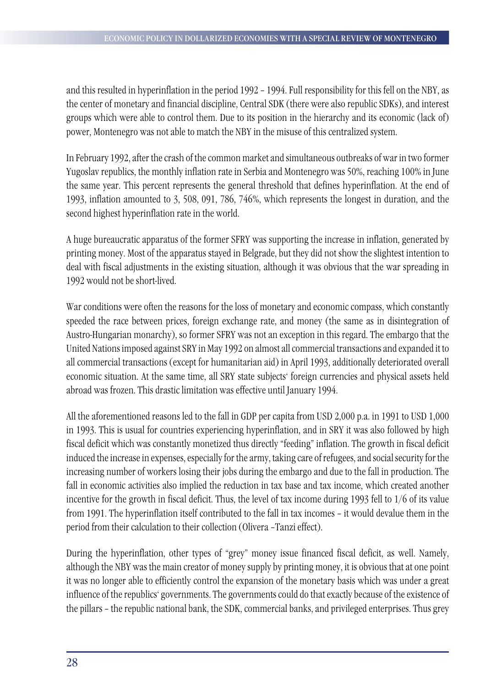and this resulted in hyperinflation in the period 1992 – 1994. Full responsibility for this fell on the NBY, as the center of monetary and financial discipline, Central SDK (there were also republic SDKs), and interest groups which were able to control them. Due to its position in the hierarchy and its economic (lack of) power, Montenegro was not able to match the NBY in the misuse of this centralized system.

In February 1992, after the crash of the common market and simultaneous outbreaks of war in two former Yugoslav republics, the monthly inflation rate in Serbia and Montenegro was 50%, reaching 100% in June the same year. This percent represents the general threshold that defines hyperinflation. At the end of 1993, inflation amounted to 3, 508, 091, 786, 746%, which represents the longest in duration, and the second highest hyperinflation rate in the world.

A huge bureaucratic apparatus of the former SFRY was supporting the increase in inflation, generated by printing money. Most of the apparatus stayed in Belgrade, but they did not show the slightest intention to deal with fiscal adjustments in the existing situation, although it was obvious that the war spreading in 1992 would not be short-lived.

War conditions were often the reasons for the loss of monetary and economic compass, which constantly speeded the race between prices, foreign exchange rate, and money (the same as in disintegration of Austro-Hungarian monarchy), so former SFRY was not an exception in this regard. The embargo that the United Nations imposed against SRY in May 1992 on almost all commercial transactions and expanded it to all commercial transactions (except for humanitarian aid) in April 1993, additionally deteriorated overall economic situation. At the same time, all SRY state subjects' foreign currencies and physical assets held abroad was frozen. This drastic limitation was effective until January 1994.

All the aforementioned reasons led to the fall in GDP per capita from USD 2,000 p.a. in 1991 to USD 1,000 in 1993. This is usual for countries experiencing hyperinflation, and in SRY it was also followed by high fiscal deficit which was constantly monetized thus directly "feeding" inflation. The growth in fiscal deficit induced the increase in expenses, especially for the army, taking care of refugees, and social security for the increasing number of workers losing their jobs during the embargo and due to the fall in production. The fall in economic activities also implied the reduction in tax base and tax income, which created another incentive for the growth in fiscal deficit. Thus, the level of tax income during 1993 fell to 1/6 of its value from 1991. The hyperinflation itself contributed to the fall in tax incomes – it would devalue them in the period from their calculation to their collection (Olivera –Tanzi effect).

During the hyperinflation, other types of "grey" money issue financed fiscal deficit, as well. Namely, although the NBY was the main creator of money supply by printing money, it is obvious that at one point it was no longer able to efficiently control the expansion of the monetary basis which was under a great influence of the republics' governments. The governments could do that exactly because of the existence of the pillars – the republic national bank, the SDK, commercial banks, and privileged enterprises. Thus grey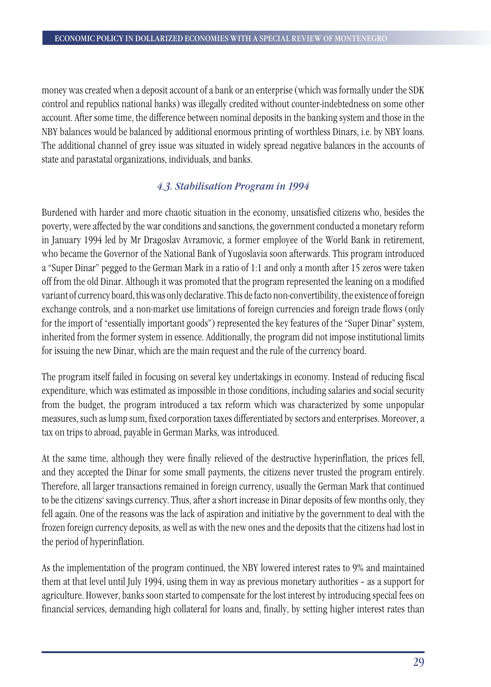money was created when a deposit account of a bank or an enterprise (which was formally under the SDK control and republics national banks) was illegally credited without counter-indebtedness on some other account. After some time, the difference between nominal deposits in the banking system and those in the NBY balances would be balanced by additional enormous printing of worthless Dinars, i.e. by NBY loans. The additional channel of grey issue was situated in widely spread negative balances in the accounts of state and parastatal organizations, individuals, and banks.

## *4.3. Stabilisation Program in 1994*

Burdened with harder and more chaotic situation in the economy, unsatisfied citizens who, besides the poverty, were affected by the war conditions and sanctions, the government conducted a monetary reform in January 1994 led by Mr Dragoslav Avramovic, a former employee of the World Bank in retirement, who became the Governor of the National Bank of Yugoslavia soon afterwards. This program introduced a "Super Dinar" pegged to the German Mark in a ratio of 1:1 and only a month after 15 zeros were taken off from the old Dinar. Although it was promoted that the program represented the leaning on a modified variant of currency board, this was only declarative. This de facto non-convertibility, the existence of foreign exchange controls, and a non-market use limitations of foreign currencies and foreign trade flows (only for the import of "essentially important goods") represented the key features of the "Super Dinar" system, inherited from the former system in essence. Additionally, the program did not impose institutional limits for issuing the new Dinar, which are the main request and the rule of the currency board.

The program itself failed in focusing on several key undertakings in economy. Instead of reducing fiscal expenditure, which was estimated as impossible in those conditions, including salaries and social security from the budget, the program introduced a tax reform which was characterized by some unpopular measures, such as lump sum, fixed corporation taxes differentiated by sectors and enterprises. Moreover, a tax on trips to abroad, payable in German Marks, was introduced.

At the same time, although they were finally relieved of the destructive hyperinflation, the prices fell, and they accepted the Dinar for some small payments, the citizens never trusted the program entirely. Therefore, all larger transactions remained in foreign currency, usually the German Mark that continued to be the citizens' savings currency. Thus, after a short increase in Dinar deposits of few months only, they fell again. One of the reasons was the lack of aspiration and initiative by the government to deal with the frozen foreign currency deposits, as well as with the new ones and the deposits that the citizens had lost in the period of hyperinflation.

As the implementation of the program continued, the NBY lowered interest rates to 9% and maintained them at that level until July 1994, using them in way as previous monetary authorities – as a support for agriculture. However, banks soon started to compensate for the lost interest by introducing special fees on financial services, demanding high collateral for loans and, finally, by setting higher interest rates than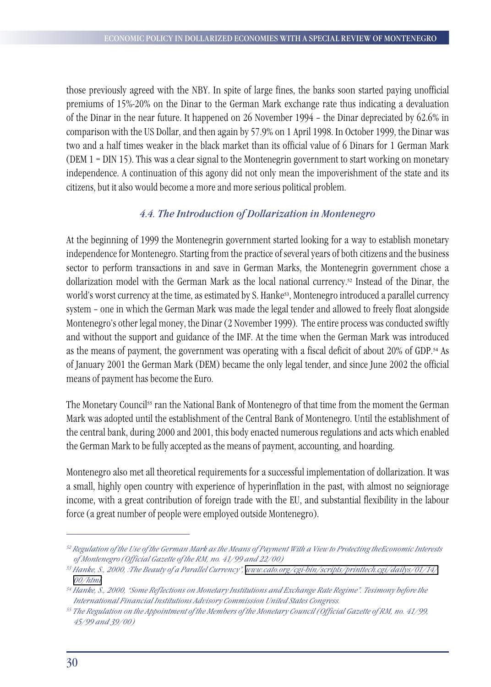those previously agreed with the NBY. In spite of large fines, the banks soon started paying unofficial premiums of 15%-20% on the Dinar to the German Mark exchange rate thus indicating a devaluation of the Dinar in the near future. It happened on 26 November 1994 – the Dinar depreciated by 62.6% in comparison with the US Dollar, and then again by 57.9% on 1 April 1998. In October 1999, the Dinar was two and a half times weaker in the black market than its official value of 6 Dinars for 1 German Mark (DEM 1 = DIN 15). This was a clear signal to the Montenegrin government to start working on monetary independence. A continuation of this agony did not only mean the impoverishment of the state and its citizens, but it also would become a more and more serious political problem.

### *4.4. The Introduction of Dollarization in Montenegro*

At the beginning of 1999 the Montenegrin government started looking for a way to establish monetary independence for Montenegro. Starting from the practice of several years of both citizens and the business sector to perform transactions in and save in German Marks, the Montenegrin government chose a dollarization model with the German Mark as the local national currency.52 Instead of the Dinar, the world's worst currency at the time, as estimated by S. Hanke<sup>53</sup>, Montenegro introduced a parallel currency system – one in which the German Mark was made the legal tender and allowed to freely float alongside Montenegro's other legal money, the Dinar (2 November 1999). The entire process was conducted swiftly and without the support and guidance of the IMF. At the time when the German Mark was introduced as the means of payment, the government was operating with a fiscal deficit of about 20% of GDP.54 As of January 2001 the German Mark (DEM) became the only legal tender, and since June 2002 the official means of payment has become the Euro.

The Monetary Council<sup>55</sup> ran the National Bank of Montenegro of that time from the moment the German Mark was adopted until the establishment of the Central Bank of Montenegro. Until the establishment of the central bank, during 2000 and 2001, this body enacted numerous regulations and acts which enabled the German Mark to be fully accepted as the means of payment, accounting, and hoarding.

Montenegro also met all theoretical requirements for a successful implementation of dollarization. It was a small, highly open country with experience of hyperinflation in the past, with almost no seigniorage income, with a great contribution of foreign trade with the EU, and substantial flexibility in the labour force (a great number of people were employed outside Montenegro).

*<sup>52</sup> Regulation of the Use of the German Mark as the Means of Payment With a View to Protecting theEconomic Interests of Montenegro (Official Gazette of the RM, no. 41/99 and 22/00)*

*<sup>53</sup> Hanke, S., 2000, :The Beauty of a Parallel Currency", [www.cato.org/cgi-bin/scripts/printtech.cgi/dailys/01/14/](http://www.cato.org/cgi-bin/scripts/printtech.cgi/dailys/01/14/00/html) [00/html](http://www.cato.org/cgi-bin/scripts/printtech.cgi/dailys/01/14/00/html)*

*<sup>54</sup> Hanke, S., 2000, "Some Reflections on Monetary Institutions and Exchange Rate Regime". Tesimony before the International Financial Institutions Advisory Commission United States Congress.*

*<sup>55</sup> The Regulation on the Appointment of the Members of the Monetary Council (Official Gazette of RM, no. 41/99, 45/99 and 39/00)*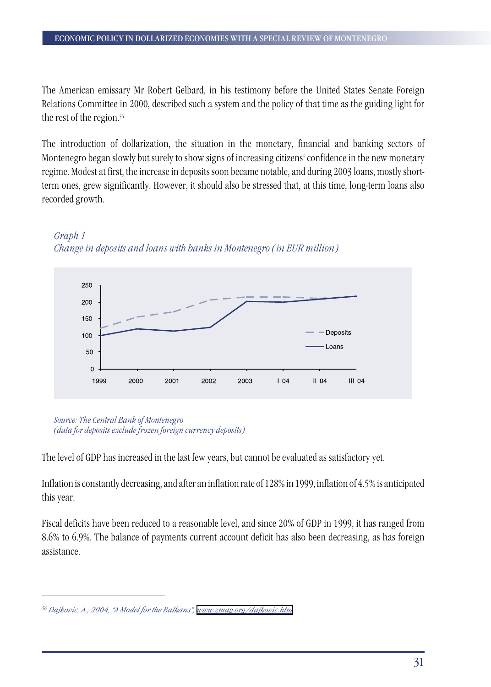The American emissary Mr Robert Gelbard, in his testimony before the United States Senate Foreign Relations Committee in 2000, described such a system and the policy of that time as the guiding light for the rest of the region.<sup>56</sup>

The introduction of dollarization, the situation in the monetary, financial and banking sectors of Montenegro began slowly but surely to show signs of increasing citizens' confidence in the new monetary regime. Modest at first, the increase in deposits soon became notable, and during 2003 loans, mostly shortterm ones, grew significantly. However, it should also be stressed that, at this time, long-term loans also recorded growth.





*Source: The Central Bank of Montenegro (data for deposits exclude frozen foreign currency deposits)*

The level of GDP has increased in the last few years, but cannot be evaluated as satisfactory yet.

Inflation is constantly decreasing, and after an inflation rate of 128% in 1999, inflation of 4.5% is anticipated this year.

Fiscal deficits have been reduced to a reasonable level, and since 20% of GDP in 1999, it has ranged from 8.6% to 6.9%. The balance of payments current account deficit has also been decreasing, as has foreign assistance.

*<sup>56</sup> Dajkovic, A., 2004, "A Model for the Balkans", [www.zmag.org/dajkovic.htm](http://www.zmag.org/dajkovic.htm)*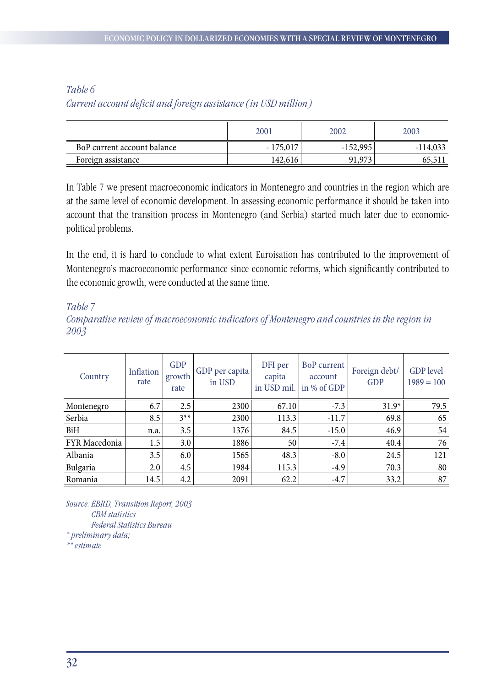## *Table 6 Current account deficit and foreign assistance (in USD million)*

|                             | 2001              | 2002       | 2003       |
|-----------------------------|-------------------|------------|------------|
| BoP current account balance | 175,017<br>$\sim$ | $-152,995$ | $-114,033$ |
| Foreign assistance          | 142,616           | 91,973     | 05,511     |

In Table 7 we present macroeconomic indicators in Montenegro and countries in the region which are at the same level of economic development. In assessing economic performance it should be taken into account that the transition process in Montenegro (and Serbia) started much later due to economicpolitical problems.

In the end, it is hard to conclude to what extent Euroisation has contributed to the improvement of Montenegro's macroeconomic performance since economic reforms, which significantly contributed to the economic growth, were conducted at the same time.

*Table 7*

*Comparative review of macroeconomic indicators of Montenegro and countries in the region in 2003*

| Country       | Inflation<br>rate | <b>GDP</b><br>growth<br>rate | GDP per capita<br>in USD | DFI per<br>capita<br>in USD mil. | BoP current<br>account<br>in % of GDP | Foreign debt/<br><b>GDP</b> | <b>GDP</b> level<br>$1989 = 100$ |
|---------------|-------------------|------------------------------|--------------------------|----------------------------------|---------------------------------------|-----------------------------|----------------------------------|
| Montenegro    | 6.7               | 2.5                          | 2300                     | 67.10                            | $-7.3$                                | $31.9*$                     | 79.5                             |
| Serbia        | 8.5               | $3^{**}$                     | 2300                     | 113.3                            | $-11.7$                               | 69.8                        | 65                               |
| <b>BiH</b>    | n.a.              | 3.5                          | 1376                     | 84.5                             | $-15.0$                               | 46.9                        | 54                               |
| FYR Macedonia | 1.5               | 3.0                          | 1886                     | 50                               | $-7.4$                                | 40.4                        | 76                               |
| Albania       | 3.5               | 6.0                          | 1565                     | 48.3                             | $-8.0$                                | 24.5                        | 121                              |
| Bulgaria      | 2.0               | 4.5                          | 1984                     | 115.3                            | $-4.9$                                | 70.3                        | 80                               |
| Romania       | 14.5              | 4.2                          | 2091                     | 62.2                             | $-4.7$                                | 33.2                        | 87                               |

*Source: EBRD, Transition Report, 2003 CBM statistics Federal Statistics Bureau \* preliminary data;* 

*\*\* estimate*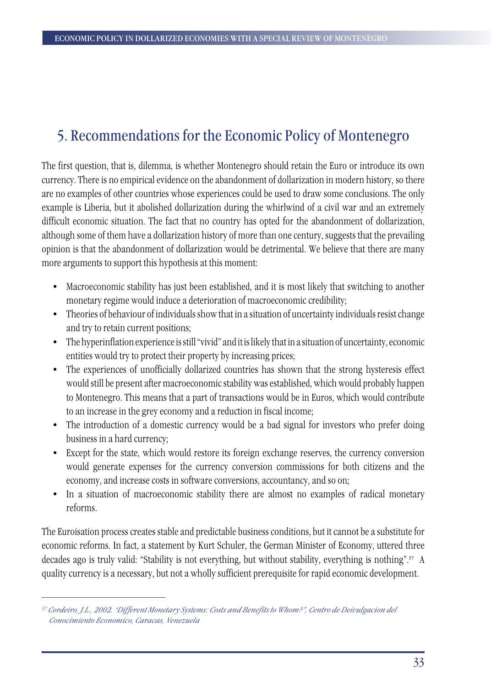## 5. Recommendations for the Economic Policy of Montenegro

The first question, that is, dilemma, is whether Montenegro should retain the Euro or introduce its own currency. There is no empirical evidence on the abandonment of dollarization in modern history, so there are no examples of other countries whose experiences could be used to draw some conclusions. The only example is Liberia, but it abolished dollarization during the whirlwind of a civil war and an extremely difficult economic situation. The fact that no country has opted for the abandonment of dollarization, although some of them have a dollarization history of more than one century, suggests that the prevailing opinion is that the abandonment of dollarization would be detrimental. We believe that there are many more arguments to support this hypothesis at this moment:

- Macroeconomic stability has just been established, and it is most likely that switching to another monetary regime would induce a deterioration of macroeconomic credibility;
- Theories of behaviour of individuals show that in a situation of uncertainty individuals resist change and try to retain current positions;
- The hyperinflation experience is still "vivid" and it is likely that in a situation of uncertainty, economic entities would try to protect their property by increasing prices;
- The experiences of unofficially dollarized countries has shown that the strong hysteresis effect would still be present after macroeconomic stability was established, which would probably happen to Montenegro. This means that a part of transactions would be in Euros, which would contribute to an increase in the grey economy and a reduction in fiscal income;
- The introduction of a domestic currency would be a bad signal for investors who prefer doing business in a hard currency;
- Except for the state, which would restore its foreign exchange reserves, the currency conversion would generate expenses for the currency conversion commissions for both citizens and the economy, and increase costs in software conversions, accountancy, and so on;
- In a situation of macroeconomic stability there are almost no examples of radical monetary reforms.

The Euroisation process creates stable and predictable business conditions, but it cannot be a substitute for economic reforms. In fact, a statement by Kurt Schuler, the German Minister of Economy, uttered three decades ago is truly valid: "Stability is not everything, but without stability, everything is nothing".57 A quality currency is a necessary, but not a wholly sufficient prerequisite for rapid economic development.

*<sup>57</sup> Cordeiro, J.L., 2002. "Different Monetary Systems: Costs and Benefits to Whom?", Centro de Deivulgacion del Conocimiento Economico, Caracas, Venezuela*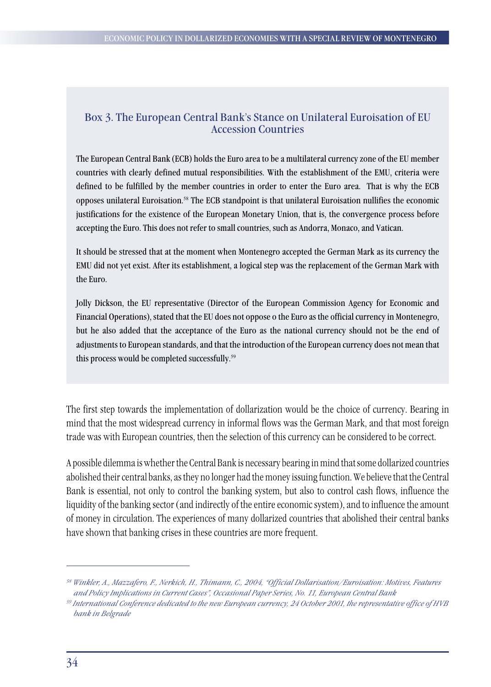### Box 3. The European Central Bank's Stance on Unilateral Euroisation of EU Accession Countries

The European Central Bank (ECB) holds the Euro area to be a multilateral currency zone of the EU member countries with clearly defined mutual responsibilities. With the establishment of the EMU, criteria were defined to be fulfilled by the member countries in order to enter the Euro area. That is why the ECB opposes unilateral Euroisation.58 The ECB standpoint is that unilateral Euroisation nullifies the economic justifications for the existence of the European Monetary Union, that is, the convergence process before accepting the Euro. This does not refer to small countries, such as Andorra, Monaco, and Vatican.

It should be stressed that at the moment when Montenegro accepted the German Mark as its currency the EMU did not yet exist. After its establishment, a logical step was the replacement of the German Mark with the Euro.

Jolly Dickson, the EU representative (Director of the European Commission Agency for Economic and Financial Operations), stated that the EU does not oppose o the Euro as the official currency in Montenegro, but he also added that the acceptance of the Euro as the national currency should not be the end of adjustments to European standards, and that the introduction of the European currency does not mean that this process would be completed successfully.<sup>59</sup>

The first step towards the implementation of dollarization would be the choice of currency. Bearing in mind that the most widespread currency in informal flows was the German Mark, and that most foreign trade was with European countries, then the selection of this currency can be considered to be correct.

A possible dilemma is whether the Central Bank is necessary bearing in mind that some dollarized countries abolished their central banks, as they no longer had the money issuing function. We believe that the Central Bank is essential, not only to control the banking system, but also to control cash flows, influence the liquidity of the banking sector (and indirectly of the entire economic system), and to influence the amount of money in circulation. The experiences of many dollarized countries that abolished their central banks have shown that banking crises in these countries are more frequent.

*<sup>58</sup> Winkler, A., Mazzafero, F., Nerkich, H., Thimann, C., 2004, "Official Dollarisation/Euroisation: Motives, Features and Policy Implications in Current Cases", Occasional Paper Series, No. 11, European Central Bank*

*<sup>59</sup> International Conference dedicated to the new European currency, 24 October 2001, the representative office of HVB bank in Belgrade*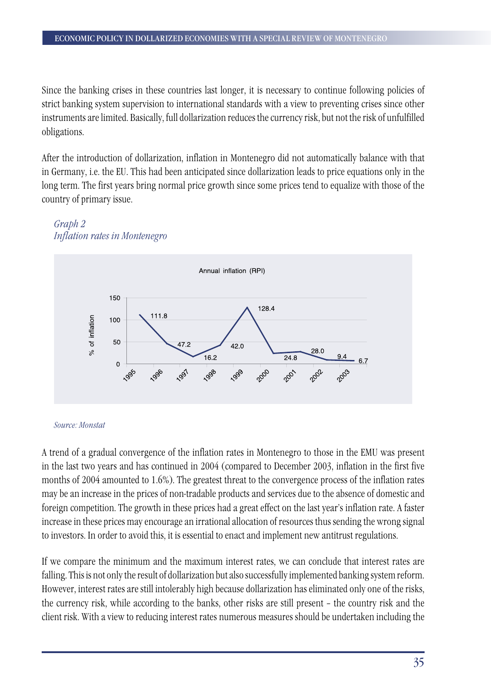Since the banking crises in these countries last longer, it is necessary to continue following policies of strict banking system supervision to international standards with a view to preventing crises since other instruments are limited. Basically, full dollarization reduces the currency risk, but not the risk of unfulfilled obligations.

After the introduction of dollarization, inflation in Montenegro did not automatically balance with that in Germany, i.e. the EU. This had been anticipated since dollarization leads to price equations only in the long term. The first years bring normal price growth since some prices tend to equalize with those of the country of primary issue.





#### *Source: Monstat*

A trend of a gradual convergence of the inflation rates in Montenegro to those in the EMU was present in the last two years and has continued in 2004 (compared to December 2003, inflation in the first five months of 2004 amounted to 1.6%). The greatest threat to the convergence process of the inflation rates may be an increase in the prices of non-tradable products and services due to the absence of domestic and foreign competition. The growth in these prices had a great effect on the last year's inflation rate. A faster increase in these prices may encourage an irrational allocation of resources thus sending the wrong signal to investors. In order to avoid this, it is essential to enact and implement new antitrust regulations.

If we compare the minimum and the maximum interest rates, we can conclude that interest rates are falling. This is not only the result of dollarization but also successfully implemented banking system reform. However, interest rates are still intolerably high because dollarization has eliminated only one of the risks, the currency risk, while according to the banks, other risks are still present – the country risk and the client risk. With a view to reducing interest rates numerous measures should be undertaken including the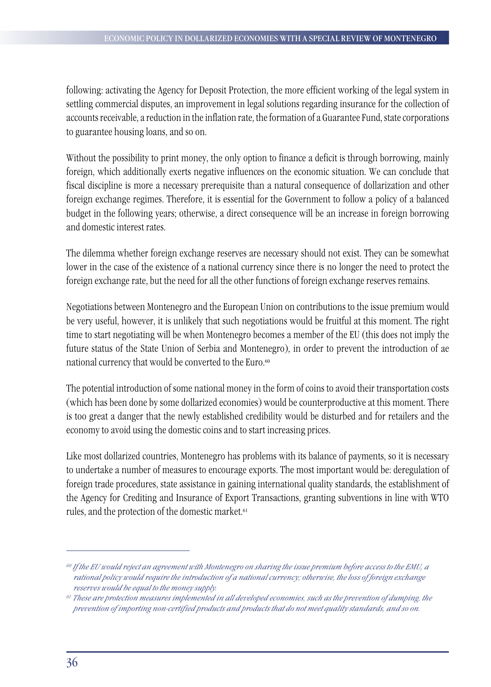following: activating the Agency for Deposit Protection, the more efficient working of the legal system in settling commercial disputes, an improvement in legal solutions regarding insurance for the collection of accounts receivable, a reduction in the inflation rate, the formation of a Guarantee Fund, state corporations to guarantee housing loans, and so on.

Without the possibility to print money, the only option to finance a deficit is through borrowing, mainly foreign, which additionally exerts negative influences on the economic situation. We can conclude that fiscal discipline is more a necessary prerequisite than a natural consequence of dollarization and other foreign exchange regimes. Therefore, it is essential for the Government to follow a policy of a balanced budget in the following years; otherwise, a direct consequence will be an increase in foreign borrowing and domestic interest rates.

The dilemma whether foreign exchange reserves are necessary should not exist. They can be somewhat lower in the case of the existence of a national currency since there is no longer the need to protect the foreign exchange rate, but the need for all the other functions of foreign exchange reserves remains.

Negotiations between Montenegro and the European Union on contributions to the issue premium would be very useful, however, it is unlikely that such negotiations would be fruitful at this moment. The right time to start negotiating will be when Montenegro becomes a member of the EU (this does not imply the future status of the State Union of Serbia and Montenegro), in order to prevent the introduction of ae national currency that would be converted to the Euro.<sup>60</sup>

The potential introduction of some national money in the form of coins to avoid their transportation costs (which has been done by some dollarized economies) would be counterproductive at this moment. There is too great a danger that the newly established credibility would be disturbed and for retailers and the economy to avoid using the domestic coins and to start increasing prices.

Like most dollarized countries, Montenegro has problems with its balance of payments, so it is necessary to undertake a number of measures to encourage exports. The most important would be: deregulation of foreign trade procedures, state assistance in gaining international quality standards, the establishment of the Agency for Crediting and Insurance of Export Transactions, granting subventions in line with WTO rules, and the protection of the domestic market.<sup>61</sup>

*<sup>60</sup> If the EU would reject an agreement with Montenegro on sharing the issue premium before access to the EMU, a rational policy would require the introduction of a national currency; otherwise, the loss of foreign exchange reserves would be equal to the money supply.*

*<sup>61</sup> These are protection measures implemented in all developed economies, such as the prevention of dumping, the prevention of importing non-certified products and products that do not meet quality standards, and so on.*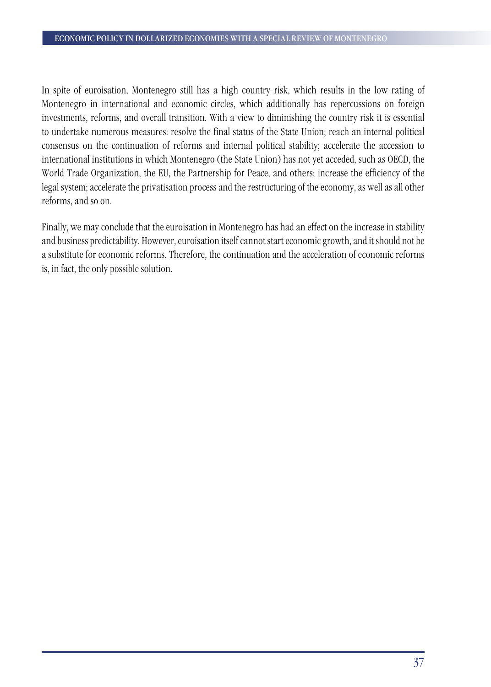In spite of euroisation, Montenegro still has a high country risk, which results in the low rating of Montenegro in international and economic circles, which additionally has repercussions on foreign investments, reforms, and overall transition. With a view to diminishing the country risk it is essential to undertake numerous measures: resolve the final status of the State Union; reach an internal political consensus on the continuation of reforms and internal political stability; accelerate the accession to international institutions in which Montenegro (the State Union) has not yet acceded, such as OECD, the World Trade Organization, the EU, the Partnership for Peace, and others; increase the efficiency of the legal system; accelerate the privatisation process and the restructuring of the economy, as well as all other reforms, and so on.

Finally, we may conclude that the euroisation in Montenegro has had an effect on the increase in stability and business predictability. However, euroisation itself cannot start economic growth, and it should not be a substitute for economic reforms. Therefore, the continuation and the acceleration of economic reforms is, in fact, the only possible solution.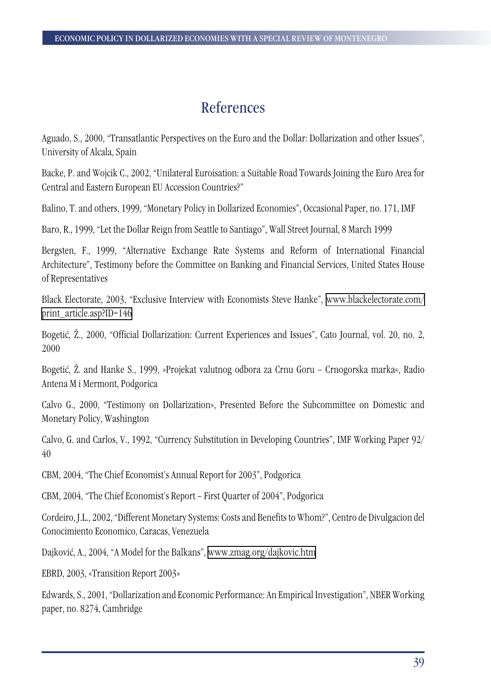## References

Aguado, S., 2000, "Transatlantic Perspectives on the Euro and the Dollar: Dollarization and other Issues", University of Alcala, Spain

Backe, P. and Wojcik C., 2002, "Unilateral Euroisation: a Suitable Road Towards Joining the Euro Area for Central and Eastern European EU Accession Countries?"

Balino, T. and others, 1999, "Monetary Policy in Dollarized Economies", Occasional Paper, no. 171, IMF

Baro, R., 1999, "Let the Dollar Reign from Seattle to Santiago", Wall Street Journal, 8 March 1999

Bergsten, F., 1999, "Alternative Exchange Rate Systems and Reform of International Financial Architecture", Testimony before the Committee on Banking and Financial Services, United States House of Representatives

Black Electorate, 2003, "Exclusive Interview with Economists Steve Hanke", [www.blackelectorate.com/](http://www.blackelectorate.com/print_article.asp?ID=146) [print\\_article.asp?ID=146](http://www.blackelectorate.com/print_article.asp?ID=146)

Bogetić, Ž., 2000, "Official Dollarization: Current Experiences and Issues", Cato Journal, vol. 20, no. 2, 2000

Bogetić, Ž. and Hanke S., 1999, »Projekat valutnog odbora za Crnu Goru – Crnogorska marka«, Radio Antena M i Mermont, Podgorica

Calvo G., 2000, "Testimony on Dollarization», Presented Before the Subcommittee on Domestic and Monetary Policy, Washington

Calvo, G. and Carlos, V., 1992, "Currency Substitution in Developing Countries", IMF Working Paper 92/ 40

CBM, 2004, "The Chief Economist's Annual Report for 2003", Podgorica

CBM, 2004, "The Chief Economist's Report – First Quarter of 2004", Podgorica

Cordeiro, J.L., 2002, "Different Monetary Systems: Costs and Benefits to Whom?", Centro de Divulgacion del Conocimiento Economico, Caracas, Venezuela

Dajković, A., 2004, "A Model for the Balkans", [www.zmag.org/dajkovic.htm](http://www.zmag.org/dajkovic.htm)

EBRD, 2003, «Transition Report 2003»

Edwards, S., 2001, "Dollarization and Economic Performance: An Empirical Investigation", NBER Working paper, no. 8274, Cambridge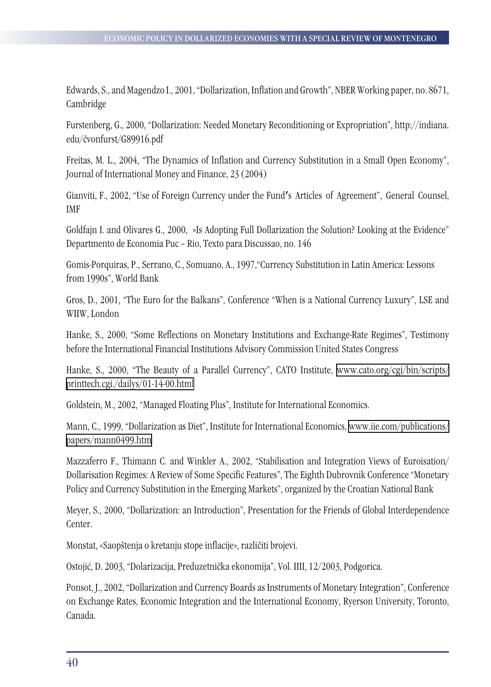Edwards, S., and Magendzo I., 2001, "Dollarization, Inflation and Growth", NBER Working paper, no. 8671, Cambridge

Furstenberg, G., 2000, "Dollarization: Needed Monetary Reconditioning or Expropriation", http://indiana. edu/čvonfurst/G89916.pdf

Freitas, M. L., 2004, "The Dynamics of Inflation and Currency Substitution in a Small Open Economy", Journal of International Money and Finance, 23 (2004)

Gianviti, F., 2002, "Use of Foreign Currency under the Fund′s Articles of Agreement", General Counsel, IMF

Goldfajn I. and Olivares G., 2000, »Is Adopting Full Dollarization the Solution? Looking at the Evidence" Departmento de Economia Puc – Rio, Texto para Discussao, no. 146

Gomis-Porquiras, P., Serrano, C., Somuano, A., 1997,"Currency Substitution in Latin America: Lessons from 1990s", World Bank

Gros, D., 2001, "The Euro for the Balkans", Conference "When is a National Currency Luxury", LSE and WIIW, London

Hanke, S., 2000, "Some Reflections on Monetary Institutions and Exchange-Rate Regimes", Testimony before the International Financial Institutions Advisory Commission United States Congress

Hanke, S., 2000, "The Beauty of a Parallel Currency", CATO Institute, [www.cato.org/cgi/bin/scripts/](http://www.cato.org/cgi/bin/scripts/printtech.cgi./dailys/01-14-00.html) [printtech.cgi./dailys/01-14-00.html](http://www.cato.org/cgi/bin/scripts/printtech.cgi./dailys/01-14-00.html)

Goldstein, M., 2002, "Managed Floating Plus", Institute for International Economics.

Mann, C., 1999, "Dollarization as Diet", Institute for International Economics, [www.iie.com/publications/](http://www.iie.com/publications/papers/mann0499.htm) [papers/mann0499.htm](http://www.iie.com/publications/papers/mann0499.htm)

Mazzaferro F., Thimann C. and Winkler A., 2002, "Stabilisation and Integration Views of Euroisation/ Dollarisation Regimes: A Review of Some Specific Features", The Eighth Dubrovnik Conference "Monetary Policy and Currency Substitution in the Emerging Markets", organized by the Croatian National Bank

Meyer, S., 2000, "Dollarization: an Introduction", Presentation for the Friends of Global Interdependence Center.

Monstat, «Saopštenja o kretanju stope inflacije», različiti brojevi.

Ostojić, D. 2003, "Dolarizacija, Preduzetnička ekonomija", Vol. IIII, 12/2003, Podgorica.

Ponsot, J., 2002, "Dollarization and Currency Boards as Instruments of Monetary Integration", Conference on Exchange Rates, Economic Integration and the International Economy, Ryerson University, Toronto, Canada.